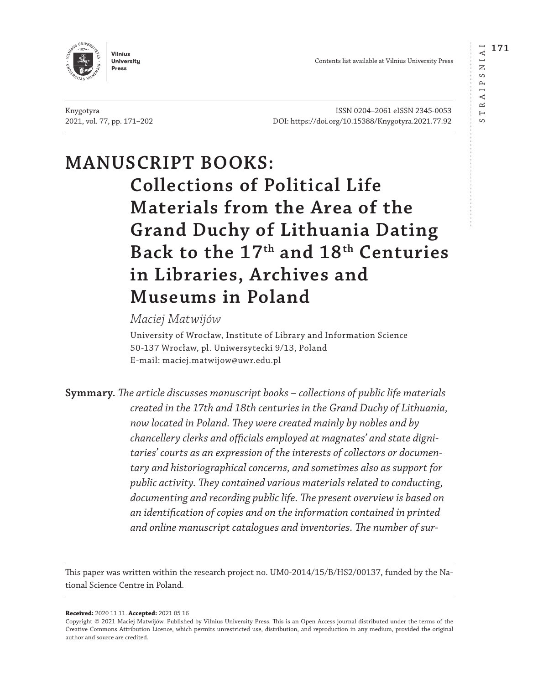AIPS  $\simeq$  $\overline{a}$  $\infty$ 



Contents list available at Vilnius University Press

Knygotyra ISSN 0204–2061 eISSN 2345-0053 2021, vol. 77, pp. 171–202 DOI: <https://doi.org/10.15388/Knygotyra.2021.77.92>

# **MANUSCRIPT BOOKS: Collections of Political Life Materials from the Area of the Grand Duchy of Lithuania Dating Back to the 17th and 18th Centuries in Libraries, Archives and Museums in Poland**

### *Maciej Matwijów*

University of Wrocław, Institute of Library and Information Science 50-137 Wrocław, pl. Uniwersytecki 9/13, Poland E-mail: maciej.matwijow@uwr.edu.pl

**Symmary.** *The article discusses manuscript books – collections of public life materials created in the 17th and 18th centuries in the Grand Duchy of Lithuania, now located in Poland. They were created mainly by nobles and by chancellery clerks and officials employed at magnates' and state dignitaries' courts as an expression of the interests of collectors or documentary and historiographical concerns, and sometimes also as support for public activity. They contained various materials related to conducting, documenting and recording public life. The present overview is based on an identification of copies and on the information contained in printed and online manuscript catalogues and inventories. The number of sur-*

This paper was written within the research project no. UM0-2014/15/B/HS2/00137, funded by the National Science Centre in Poland.

**Received:** 2020 11 11. **Accepted:** 2021 05 16

Copyright © 2021 Maciej Matwijów. Published by [Vilnius University Press.](https://www.vu.lt/leidyba/en/) This is an Open Access journal distributed under the terms of the [Creative Commons Attribution Licence,](https://creativecommons.org/licenses/) which permits unrestricted use, distribution, and reproduction in any medium, provided the original author and source are credited.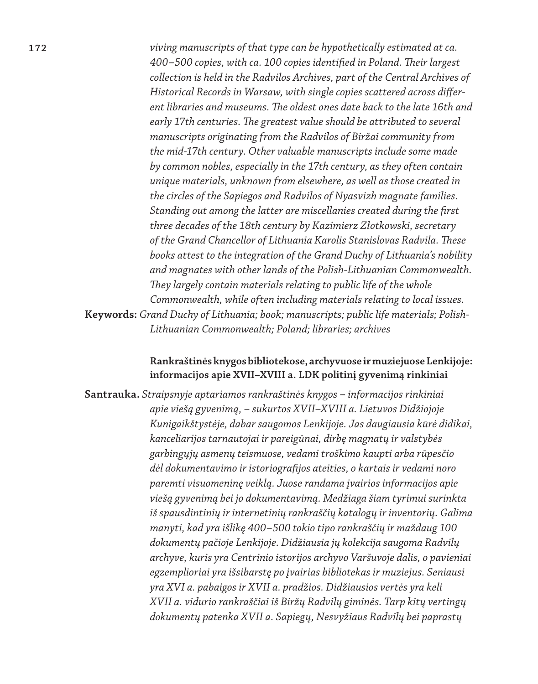**172** *viving manuscripts of that type can be hypothetically estimated at ca. 400–500 copies, with ca. 100 copies identified in Poland. Their largest collection is held in the Radvilos Archives, part of the Central Archives of Historical Records in Warsaw, with single copies scattered across different libraries and museums. The oldest ones date back to the late 16th and early 17th centuries. The greatest value should be attributed to several manuscripts originating from the Radvilos of Biržai community from the mid-17th century. Other valuable manuscripts include some made by common nobles, especially in the 17th century, as they often contain unique materials, unknown from elsewhere, as well as those created in the circles of the Sapiegos and Radvilos of Nyasvizh magnate families. Standing out among the latter are miscellanies created during the first three decades of the 18th century by Kazimierz Złotkowski, secretary of the Grand Chancellor of Lithuania Karolis Stanislovas Radvila. These books attest to the integration of the Grand Duchy of Lithuania's nobility and magnates with other lands of the Polish-Lithuanian Commonwealth. They largely contain materials relating to public life of the whole Commonwealth, while often including materials relating to local issues.*  **Keywords:** *Grand Duchy of Lithuania; book; manuscripts; public life materials; Polish-Lithuanian Commonwealth; Poland; libraries; archives* 

### **Rankraštinės knygos bibliotekose, archyvuose ir muziejuose Lenkijoje: informacijos apie XVII–XVIII a. LDK politinį gyvenimą rinkiniai**

**Santrauka.** *Straipsnyje aptariamos rankraštinės knygos – informacijos rinkiniai apie viešą gyvenimą, – sukurtos XVII–XVIII a. Lietuvos Didžiojoje Kunigaikštystėje, dabar saugomos Lenkijoje. Jas daugiausia kūrė didikai, kanceliarijos tarnautojai ir pareigūnai, dirbę magnatų ir valstybės garbingųjų asmenų teismuose, vedami troškimo kaupti arba rūpesčio dėl dokumentavimo ir istoriografijos ateities, o kartais ir vedami noro paremti visuomeninę veiklą. Juose randama įvairios informacijos apie viešą gyvenimą bei jo dokumentavimą. Medžiaga šiam tyrimui surinkta iš spausdintinių ir internetinių rankraščių katalogų ir inventorių. Galima manyti, kad yra išlikę 400–500 tokio tipo rankraščių ir maždaug 100 dokumentų pačioje Lenkijoje. Didžiausia jų kolekcija saugoma Radvilų archyve, kuris yra Centrinio istorijos archyvo Varšuvoje dalis, o pavieniai egzemplioriai yra išsibarstę po įvairias bibliotekas ir muziejus. Seniausi yra XVI a. pabaigos ir XVII a. pradžios. Didžiausios vertės yra keli XVII a. vidurio rankraščiai iš Biržų Radvilų giminės. Tarp kitų vertingų dokumentų patenka XVII a. Sapiegų, Nesvyžiaus Radvilų bei paprastų*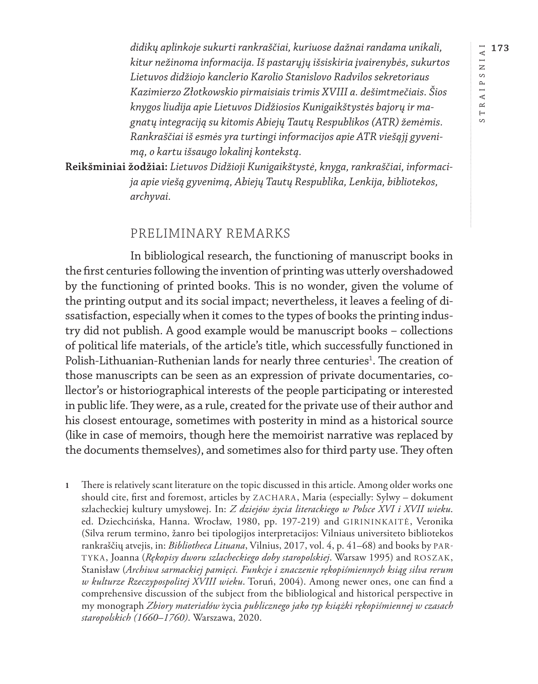RAIPSNIAI **173** STRAIPSNIAI  $\longmapsto$  $\circ$ 

*didikų aplinkoje sukurti rankraščiai, kuriuose dažnai randama unikali, kitur nežinoma informacija. Iš pastarųjų išsiskiria įvairenybės, sukurtos Lietuvos didžiojo kanclerio Karolio Stanislovo Radvilos sekretoriaus Kazimierzo Złotkowskio pirmaisiais trimis XVIII a. dešimtmečiais. Šios knygos liudija apie Lietuvos Didžiosios Kunigaikštystės bajorų ir magnatų integraciją su kitomis Abiejų Tautų Respublikos (ATR) žemėmis. Rankraščiai iš esmės yra turtingi informacijos apie ATR viešąjį gyvenimą, o kartu išsaugo lokalinį kontekstą.* 

**Reikšminiai žodžiai:** *Lietuvos Didžioji Kunigaikštystė, knyga, rankraščiai, informacija apie viešą gyvenimą, Abiejų Tautų Respublika, Lenkija, bibliotekos, archyvai.*

### PRELIMINARY REMARKS

In bibliological research, the functioning of manuscript books in the first centuries following the invention of printing was utterly overshadowed by the functioning of printed books. This is no wonder, given the volume of the printing output and its social impact; nevertheless, it leaves a feeling of dissatisfaction, especially when it comes to the types of books the printing industry did not publish. A good example would be manuscript books – collections of political life materials, of the article's title, which successfully functioned in Polish-Lithuanian-Ruthenian lands for nearly three centuries<sup>1</sup>. The creation of those manuscripts can be seen as an expression of private documentaries, collector's or historiographical interests of the people participating or interested in public life. They were, as a rule, created for the private use of their author and his closest entourage, sometimes with posterity in mind as a historical source (like in case of memoirs, though here the memoirist narrative was replaced by the documents themselves), and sometimes also for third party use. They often

**1** There is relatively scant literature on the topic discussed in this article. Among older works one should cite, first and foremost, articles by ZACHARA, Maria (especially: Sylwy – dokument szlacheckiej kultury umysłowej. In: *Z dziejów życia literackiego w Polsce XVI i XVII wieku*. ed. Dziechcińska, Hanna. Wrocław, 1980, pp. 197-219) and GIRININKAITĖ, Veronika (Silva rerum termino, žanro bei tipologijos interpretacijos: Vilniaus universiteto bibliotekos rankraščių atvejis, in: *Bibliotheca Lituana*, Vilnius, 2017, vol. 4, p. 41–68) and books by PAR-TYKA, Joanna (*Rękopisy dworu szlacheckiego doby staropolskiej*. Warsaw 1995) and ROSZAK, Stanisław (*Archiwa sarmackiej pamięci. Funkcje i znaczenie rękopiśmiennych ksiąg silva rerum w kulturze Rzeczypospolitej XVIII wieku*. Toruń, 2004). Among newer ones, one can find a comprehensive discussion of the subject from the bibliological and historical perspective in my monograph *Zbiory materiałów* życia *publicznego jako typ książki rękopiśmiennej w czasach staropolskich (1660–1760)*. Warszawa, 2020.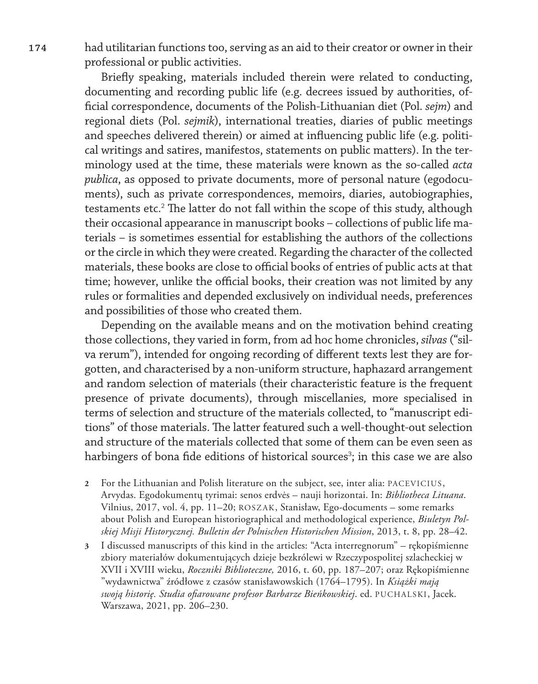**174** had utilitarian functions too, serving as an aid to their creator or owner in their professional or public activities.

> Briefly speaking, materials included therein were related to conducting, documenting and recording public life (e.g. decrees issued by authorities, official correspondence, documents of the Polish-Lithuanian diet (Pol. *sejm*) and regional diets (Pol. *sejmik*), international treaties, diaries of public meetings and speeches delivered therein) or aimed at influencing public life (e.g. political writings and satires, manifestos, statements on public matters). In the terminology used at the time, these materials were known as the so-called *acta publica*, as opposed to private documents, more of personal nature (egodocuments), such as private correspondences, memoirs, diaries, autobiographies, testaments etc.<sup>2</sup> The latter do not fall within the scope of this study, although their occasional appearance in manuscript books – collections of public life materials – is sometimes essential for establishing the authors of the collections or the circle in which they were created. Regarding the character of the collected materials, these books are close to official books of entries of public acts at that time; however, unlike the official books, their creation was not limited by any rules or formalities and depended exclusively on individual needs, preferences and possibilities of those who created them.

> Depending on the available means and on the motivation behind creating those collections, they varied in form, from ad hoc home chronicles, *silvas* ("silva rerum"), intended for ongoing recording of different texts lest they are forgotten, and characterised by a non-uniform structure, haphazard arrangement and random selection of materials (their characteristic feature is the frequent presence of private documents), through miscellanies*,* more specialised in terms of selection and structure of the materials collected, to "manuscript editions" of those materials. The latter featured such a well-thought-out selection and structure of the materials collected that some of them can be even seen as harbingers of bona fide editions of historical sources<sup>3</sup>; in this case we are also

- **2** For the Lithuanian and Polish literature on the subject, see, inter alia: PACEVICIUS, Arvydas. Egodokumentų tyrimai: senos erdvės – nauji horizontai. In: *Bibliotheca Lituana*. Vilnius, 2017, vol. 4, pp. 11–20; ROSZAK, Stanisław, Ego-documents – some remarks about Polish and European historiographical and methodological experience, *Biuletyn Polskiej Misji Historycznej. Bulletin der Polnischen Historischen Mission*, 2013, t. 8, pp. 28–42.
- **3** I discussed manuscripts of this kind in the articles: "Acta interregnorum" rękopiśmienne zbiory materiałów dokumentujących dzieje bezkrólewi w Rzeczypospolitej szlacheckiej w XVII i XVIII wieku, *Roczniki Biblioteczne,* 2016, t. 60, pp. 187–207; oraz Rękopiśmienne "wydawnictwa" źródłowe z czasów stanisławowskich (1764–1795). In *Książki mają swoją historię. Studia ofiarowane profesor Barbarze Bieńkowskiej*. ed. PUCHALSKI, Jacek. Warszawa, 2021, pp. 206–230.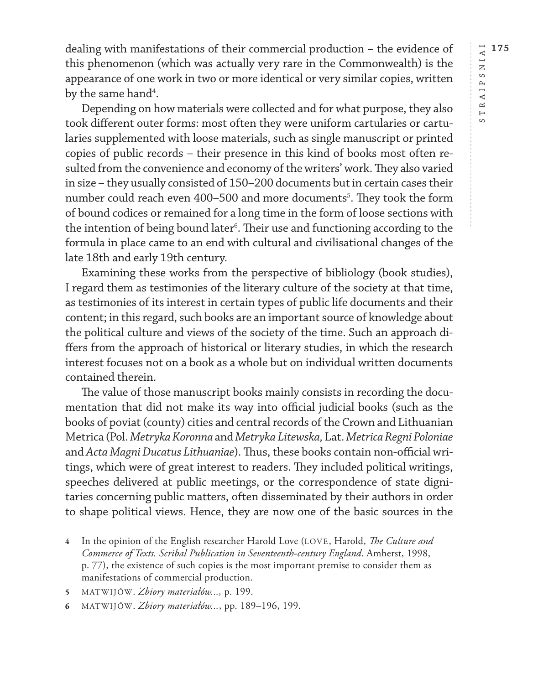dealing with manifestations of their commercial production – the evidence of this phenomenon (which was actually very rare in the Commonwealth) is the appearance of one work in two or more identical or very similar copies, written by the same hand $\rm ^4.$ 

Depending on how materials were collected and for what purpose, they also took different outer forms: most often they were uniform cartularies or cartularies supplemented with loose materials, such as single manuscript or printed copies of public records – their presence in this kind of books most often resulted from the convenience and economy of the writers' work. They also varied in size – they usually consisted of 150–200 documents but in certain cases their number could reach even 400–500 and more documents<sup>5</sup>. They took the form of bound codices or remained for a long time in the form of loose sections with the intention of being bound later $^{\rm 6}.$  Their use and functioning according to the formula in place came to an end with cultural and civilisational changes of the late 18th and early 19th century.

Examining these works from the perspective of bibliology (book studies), I regard them as testimonies of the literary culture of the society at that time, as testimonies of its interest in certain types of public life documents and their content; in this regard, such books are an important source of knowledge about the political culture and views of the society of the time. Such an approach differs from the approach of historical or literary studies, in which the research interest focuses not on a book as a whole but on individual written documents contained therein.

The value of those manuscript books mainly consists in recording the documentation that did not make its way into official judicial books (such as the books of poviat (county) cities and central records of the Crown and Lithuanian Metrica (Pol. *Metryka Koronna* and *Metryka Litewska,* Lat. *Metrica Regni Poloniae*  and *Acta Magni Ducatus Lithuaniae*). Thus, these books contain non-official writings, which were of great interest to readers. They included political writings, speeches delivered at public meetings, or the correspondence of state dignitaries concerning public matters, often disseminated by their authors in order to shape political views. Hence, they are now one of the basic sources in the

**<sup>4</sup>** In the opinion of the English researcher Harold Love (LOVE, Harold, *The Culture and Commerce of Texts. Scribal Publication in Seventeenth-century England*. Amherst, 1998, p. 77), the existence of such copies is the most important premise to consider them as manifestations of commercial production.

**<sup>5</sup>** MATWIJÓW. *Zbiory materiałów...,* p. 199.

**<sup>6</sup>** MATWIJÓW. *Zbiory materiałów...*, pp. 189–196, 199.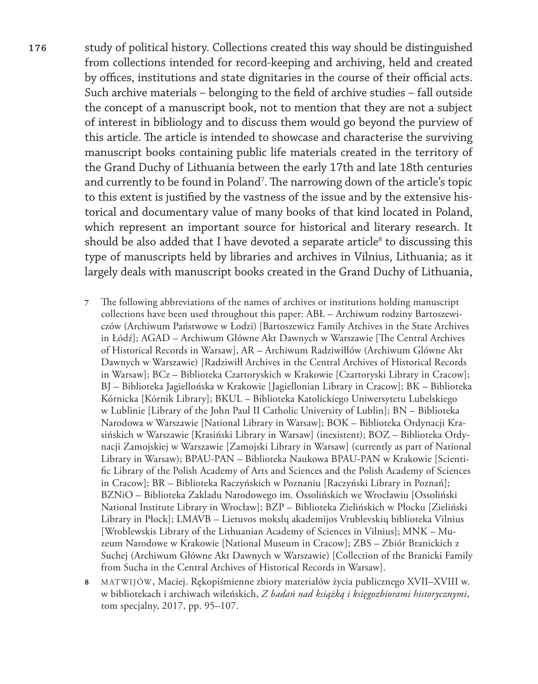**176** study of political history. Collections created this way should be distinguished from collections intended for record-keeping and archiving, held and created by offices, institutions and state dignitaries in the course of their official acts. Such archive materials – belonging to the field of archive studies – fall outside the concept of a manuscript book, not to mention that they are not a subject of interest in bibliology and to discuss them would go beyond the purview of this article. The article is intended to showcase and characterise the surviving manuscript books containing public life materials created in the territory of the Grand Duchy of Lithuania between the early 17th and late 18th centuries and currently to be found in Poland<sup>7</sup>. The narrowing down of the article's topic to this extent is justified by the vastness of the issue and by the extensive historical and documentary value of many books of that kind located in Poland, which represent an important source for historical and literary research. It should be also added that I have devoted a separate article $^{\text{\tiny 8}}$  to discussing this type of manuscripts held by libraries and archives in Vilnius, Lithuania; as it largely deals with manuscript books created in the Grand Duchy of Lithuania,

- **7** The following abbreviations of the names of archives or institutions holding manuscript collections have been used throughout this paper: ABŁ – Archiwum rodziny Bartoszewiczów (Archiwum Państwowe w Łodzi) [Bartoszewicz Family Archives in the State Archives in Łódź]; AGAD – Archiwum Główne Akt Dawnych w Warszawie [The Central Archives of Historical Records in Warsaw], AR – Archiwum Radziwiłłów (Archiwum Glówne Akt Dawnych w Warszawie) [Radziwiłł Archives in the Central Archives of Historical Records in Warsaw]; BCz – Biblioteka Czartoryskich w Krakowie [Czartoryski Library in Cracow]; BJ – Biblioteka Jagiellońska w Krakowie [Jagiellonian Library in Cracow]; BK – Biblioteka Kórnicka [Kórnik Library]; BKUL – Biblioteka Katolickiego Uniwersytetu Lubelskiego w Lublinie [Library of the John Paul II Catholic University of Lublin]; BN – Biblioteka Narodowa w Warszawie [National Library in Warsaw]; BOK – Biblioteka Ordynacji Krasińskich w Warszawie [Krasiński Library in Warsaw] (inexistent); BOZ – Biblioteka Ordynacji Zamojskiej w Warszawie [Zamojski Library in Warsaw] (currently as part of National Library in Warsaw); BPAU-PAN – Biblioteka Naukowa BPAU-PAN w Krakowie [Scientific Library of the Polish Academy of Arts and Sciences and the Polish Academy of Sciences in Cracow]; BR – Biblioteka Raczyńskich w Poznaniu [Raczyński Library in Poznań]; BZNiO – Biblioteka Zakladu Narodowego im. Ossolińskich we Wrocławiu [Ossoliński National Institute Library in Wrocław]; BZP – Biblioteka Zielińskich w Płocku [Zieliński Library in Płock]; LMAVB – Lietuvos mokslų akademijos Vrublevskių biblioteka Vilnius [Wroblewskis Library of the Lithuanian Academy of Sciences in Vilnius]; MNK – Muzeum Narodowe w Krakowie [National Museum in Cracow]; ZBS – Zbiór Branickich z Suchej (Archiwum Główne Akt Dawnych w Warszawie) [Collection of the Branicki Family from Sucha in the Central Archives of Historical Records in Warsaw].
- **8** MATWIJÓW, Maciej. Rękopiśmienne zbiory materiałów życia publicznego XVII–XVIII w. w bibliotekach i archiwach wileńskich, *Z badań nad książką i księgozbiorami historycznymi*, tom specjalny, 2017, pp. 95–107.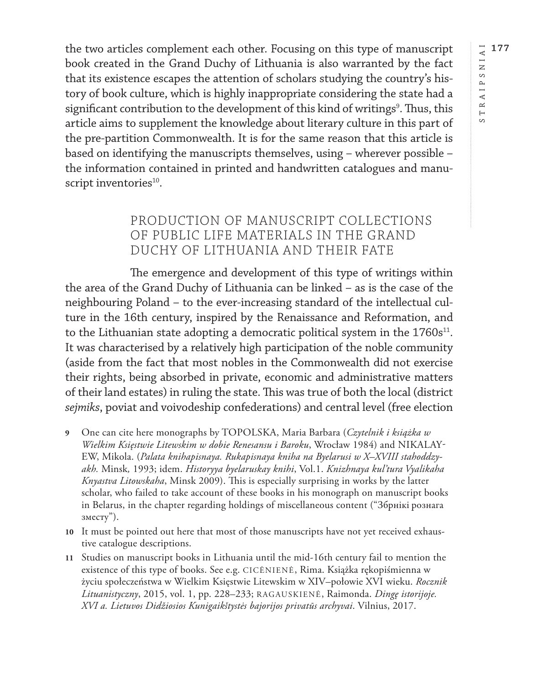RAIPSNIAI **177** STRAIPSNIAI

 $\longmapsto$  $\circ$ 

the two articles complement each other. Focusing on this type of manuscript book created in the Grand Duchy of Lithuania is also warranted by the fact that its existence escapes the attention of scholars studying the country's history of book culture, which is highly inappropriate considering the state had a significant contribution to the development of this kind of writings<sup>9</sup>. Thus, this article aims to supplement the knowledge about literary culture in this part of the pre-partition Commonwealth. It is for the same reason that this article is based on identifying the manuscripts themselves, using – wherever possible – the information contained in printed and handwritten catalogues and manuscript inventories<sup>10</sup>.

## PRODUCTION OF MANUSCRIPT COLLECTIONS OF PUBLIC LIFE MATERIALS IN THE GRAND DUCHY OF LITHUANIA AND THEIR FATE

The emergence and development of this type of writings within the area of the Grand Duchy of Lithuania can be linked – as is the case of the neighbouring Poland – to the ever-increasing standard of the intellectual culture in the 16th century, inspired by the Renaissance and Reformation, and to the Lithuanian state adopting a democratic political system in the  $1760s^{11}$ . It was characterised by a relatively high participation of the noble community (aside from the fact that most nobles in the Commonwealth did not exercise their rights, being absorbed in private, economic and administrative matters of their land estates) in ruling the state. This was true of both the local (district *sejmiks*, poviat and voivodeship confederations) and central level (free election

- **9** One can cite here monographs by TOPOLSKA, Maria Barbara (*Czytelnik i książka w Wielkim Księstwie Litewskim w dobie Renesansu i Baroku*, Wrocław 1984) and NIKALAY-EW, Mikola. (*Palata knihapisnaya. Rukapisnaya kniha na Byelarusi w X–XVIII stahoddzyakh.* Minsk*,* 1993; idem. *Historyya byelaruskay knihi*, Vol.1. *Knizhnaya kul'tura Vyalikaha Knyastva Litowskaha*, Minsk 2009). This is especially surprising in works by the latter scholar, who failed to take account of these books in his monograph on manuscript books in Belarus, in the chapter regarding holdings of miscellaneous content ("Збрнікі рознага зместу").
- **10** It must be pointed out here that most of those manuscripts have not yet received exhaustive catalogue descriptions.
- **11** Studies on manuscript books in Lithuania until the mid-16th century fail to mention the existence of this type of books. See e.g. CICĖNIENĖ, Rima. Książka rękopiśmienna w życiu społeczeństwa w Wielkim Księstwie Litewskim w XIV–połowie XVI wieku. *Rocznik Lituanistyczny*, 2015, vol. 1, pp. 228–233; RAGAUSKIENĖ, Raimonda. *Dingę istorijoje. XVI a. Lietuvos Didžiosios Kunigaikštystės bajorijos privatūs archyvai*. Vilnius, 2017.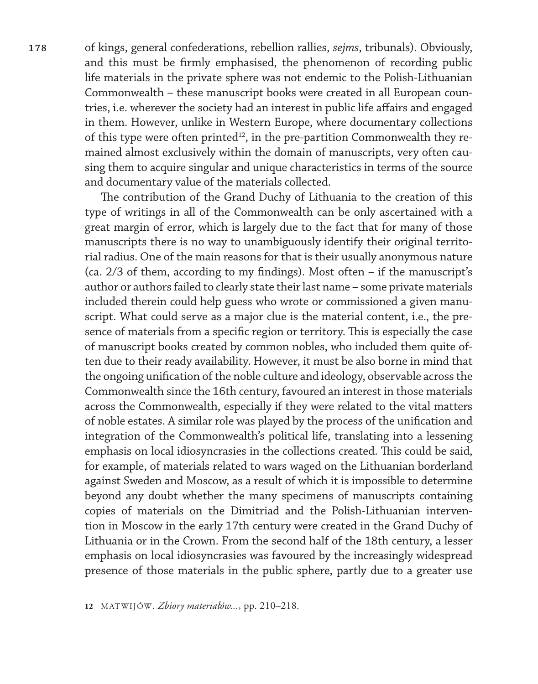**178** of kings, general confederations, rebellion rallies, *sejms*, tribunals). Obviously, and this must be firmly emphasised, the phenomenon of recording public life materials in the private sphere was not endemic to the Polish-Lithuanian Commonwealth – these manuscript books were created in all European countries, i.e. wherever the society had an interest in public life affairs and engaged in them. However, unlike in Western Europe, where documentary collections of this type were often printed<sup>12</sup>, in the pre-partition Commonwealth they remained almost exclusively within the domain of manuscripts, very often causing them to acquire singular and unique characteristics in terms of the source and documentary value of the materials collected.

> The contribution of the Grand Duchy of Lithuania to the creation of this type of writings in all of the Commonwealth can be only ascertained with a great margin of error, which is largely due to the fact that for many of those manuscripts there is no way to unambiguously identify their original territorial radius. One of the main reasons for that is their usually anonymous nature (ca. 2/3 of them, according to my findings). Most often – if the manuscript's author or authors failed to clearly state their last name – some private materials included therein could help guess who wrote or commissioned a given manuscript. What could serve as a major clue is the material content, i.e., the presence of materials from a specific region or territory. This is especially the case of manuscript books created by common nobles, who included them quite often due to their ready availability. However, it must be also borne in mind that the ongoing unification of the noble culture and ideology, observable across the Commonwealth since the 16th century, favoured an interest in those materials across the Commonwealth, especially if they were related to the vital matters of noble estates. A similar role was played by the process of the unification and integration of the Commonwealth's political life, translating into a lessening emphasis on local idiosyncrasies in the collections created. This could be said, for example, of materials related to wars waged on the Lithuanian borderland against Sweden and Moscow, as a result of which it is impossible to determine beyond any doubt whether the many specimens of manuscripts containing copies of materials on the Dimitriad and the Polish-Lithuanian intervention in Moscow in the early 17th century were created in the Grand Duchy of Lithuania or in the Crown. From the second half of the 18th century, a lesser emphasis on local idiosyncrasies was favoured by the increasingly widespread presence of those materials in the public sphere, partly due to a greater use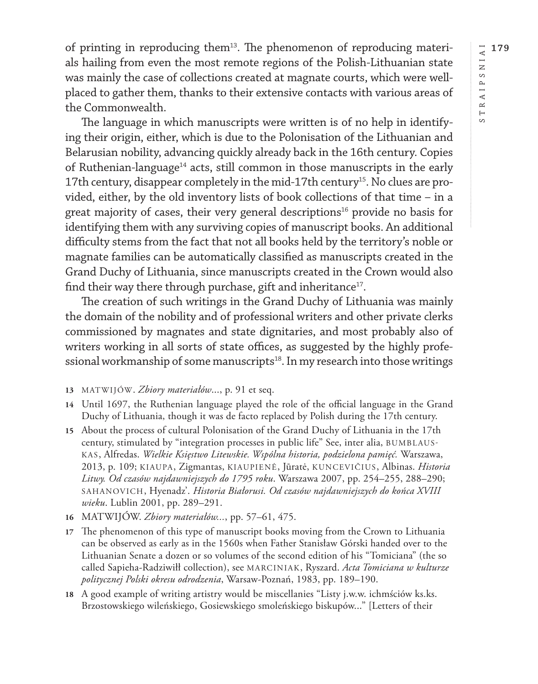of printing in reproducing them<sup>13</sup>. The phenomenon of reproducing materials hailing from even the most remote regions of the Polish-Lithuanian state was mainly the case of collections created at magnate courts, which were wellplaced to gather them, thanks to their extensive contacts with various areas of the Commonwealth.

The language in which manuscripts were written is of no help in identifying their origin, either, which is due to the Polonisation of the Lithuanian and Belarusian nobility, advancing quickly already back in the 16th century. Copies of Ruthenian-language<sup>14</sup> acts, still common in those manuscripts in the early 17th century, disappear completely in the mid-17th century<sup>15</sup>. No clues are provided, either, by the old inventory lists of book collections of that time – in a great majority of cases, their very general descriptions<sup>16</sup> provide no basis for identifying them with any surviving copies of manuscript books. An additional difficulty stems from the fact that not all books held by the territory's noble or magnate families can be automatically classified as manuscripts created in the Grand Duchy of Lithuania, since manuscripts created in the Crown would also find their way there through purchase, gift and inheritance<sup>17</sup>.

The creation of such writings in the Grand Duchy of Lithuania was mainly the domain of the nobility and of professional writers and other private clerks commissioned by magnates and state dignitaries, and most probably also of writers working in all sorts of state offices, as suggested by the highly professional workmanship of some manuscripts<sup>18</sup>. In my research into those writings

**13** MATWIJÓW. *Zbiory materiałów*..., p. 91 et seq.

- **14** Until 1697, the Ruthenian language played the role of the official language in the Grand Duchy of Lithuania, though it was de facto replaced by Polish during the 17th century.
- **15** About the process of cultural Polonisation of the Grand Duchy of Lithuania in the 17th century, stimulated by "integration processes in public life" See, inter alia, BUMBLAUS-KAS, Alfredas. *Wielkie Księstwo Litewskie. Wspólna historia, podzielona pamięć.* Warszawa, 2013, p. 109; KIAUPA, Zigmantas, KIAUPIENĖ, Jūratė, KUNCEVIČIUS, Albinas. *Historia Litwy. Od czasów najdawniejszych do 1795 roku*. Warszawa 2007, pp. 254–255, 288–290; SAHANOVICH, Hyenadz'. *Historia Białorusi. Od czasów najdawniejszych do końca XVIII wieku*. Lublin 2001, pp. 289–291.
- **16** MATWIJÓW. *Zbiory materiałów...*, pp. 57–61, 475.
- **17** The phenomenon of this type of manuscript books moving from the Crown to Lithuania can be observed as early as in the 1560s when Father Stanisław Górski handed over to the Lithuanian Senate a dozen or so volumes of the second edition of his "Tomiciana" (the so called Sapieha-Radziwiłł collection), see MARCINIAK, Ryszard. *Acta Tomiciana w kulturze politycznej Polski okresu odrodzenia*, Warsaw-Poznań, 1983, pp. 189–190.
- **18** A good example of writing artistry would be miscellanies "Listy j.w.w. ichmściów [ks.ks.](ks.ks) Brzostowskiego wileńskiego, Gosiewskiego smoleńskiego biskupów..." [Letters of their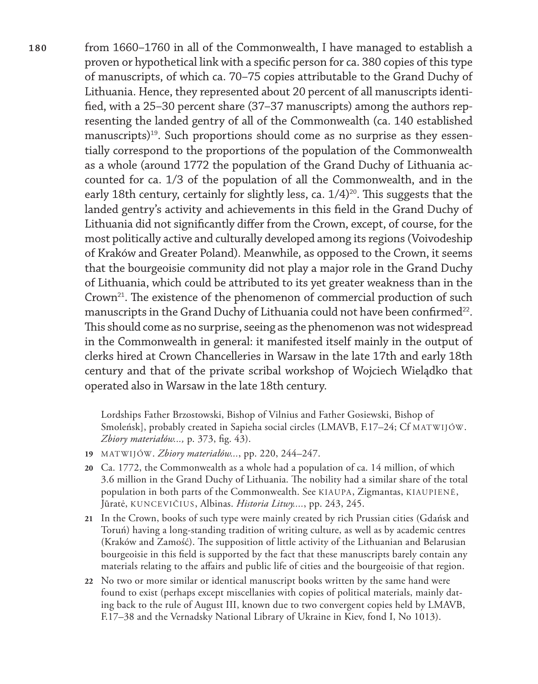**180** from 1660–1760 in all of the Commonwealth, I have managed to establish a proven or hypothetical link with a specific person for ca. 380 copies of this type of manuscripts, of which ca. 70–75 copies attributable to the Grand Duchy of Lithuania. Hence, they represented about 20 percent of all manuscripts identified, with a 25–30 percent share (37–37 manuscripts) among the authors representing the landed gentry of all of the Commonwealth (ca. 140 established manuscripts)<sup>19</sup>. Such proportions should come as no surprise as they essentially correspond to the proportions of the population of the Commonwealth as a whole (around 1772 the population of the Grand Duchy of Lithuania accounted for ca. 1/3 of the population of all the Commonwealth, and in the early 18th century, certainly for slightly less, ca.  $1/4$ <sup>20</sup>. This suggests that the landed gentry's activity and achievements in this field in the Grand Duchy of Lithuania did not significantly differ from the Crown, except, of course, for the most politically active and culturally developed among its regions (Voivodeship of Kraków and Greater Poland). Meanwhile, as opposed to the Crown, it seems that the bourgeoisie community did not play a major role in the Grand Duchy of Lithuania, which could be attributed to its yet greater weakness than in the Crown<sup>21</sup>. The existence of the phenomenon of commercial production of such manuscripts in the Grand Duchy of Lithuania could not have been confirmed<sup>22</sup>. This should come as no surprise, seeing as the phenomenon was not widespread in the Commonwealth in general: it manifested itself mainly in the output of clerks hired at Crown Chancelleries in Warsaw in the late 17th and early 18th century and that of the private scribal workshop of Wojciech Wielądko that operated also in Warsaw in the late 18th century.

> Lordships Father Brzostowski, Bishop of Vilnius and Father Gosiewski, Bishop of Smoleńsk], probably created in Sapieha social circles (LMAVB, F.17–24; Cf MATWIJÓW. *Zbiory materiałów...,* p. 373, fig. 43).

- **19** MATWIJÓW. *Zbiory materiałów...*, pp. 220, 244–247.
- **20** Ca. 1772, the Commonwealth as a whole had a population of ca. 14 million, of which 3.6 million in the Grand Duchy of Lithuania. The nobility had a similar share of the total population in both parts of the Commonwealth. See KIAUPA, Zigmantas, KIAUPIENĖ, Jūratė, KUNCEVIČIUS, Albinas. *Historia Litwy....*, pp. 243, 245.
- **21** In the Crown, books of such type were mainly created by rich Prussian cities (Gdańsk and Toruń) having a long-standing tradition of writing culture, as well as by academic centres (Kraków and Zamość). The supposition of little activity of the Lithuanian and Belarusian bourgeoisie in this field is supported by the fact that these manuscripts barely contain any materials relating to the affairs and public life of cities and the bourgeoisie of that region.
- **22** No two or more similar or identical manuscript books written by the same hand were found to exist (perhaps except miscellanies with copies of political materials, mainly dating back to the rule of August III, known due to two convergent copies held by LMAVB, F.17–38 and the Vernadsky National Library of Ukraine in Kiev, fond I, No 1013).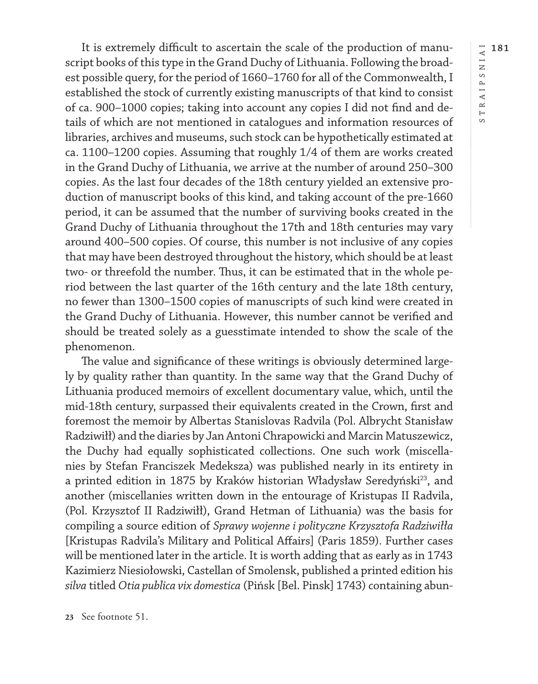RAIPSNIAI **181** STRAIPSNIAI  $\overline{a}$  $\circ$ 

It is extremely difficult to ascertain the scale of the production of manuscript books of this type in the Grand Duchy of Lithuania. Following the broadest possible query, for the period of 1660–1760 for all of the Commonwealth, I established the stock of currently existing manuscripts of that kind to consist of ca. 900–1000 copies; taking into account any copies I did not find and details of which are not mentioned in catalogues and information resources of libraries, archives and museums, such stock can be hypothetically estimated at ca. 1100–1200 copies. Assuming that roughly 1/4 of them are works created in the Grand Duchy of Lithuania, we arrive at the number of around 250–300 copies. As the last four decades of the 18th century yielded an extensive production of manuscript books of this kind, and taking account of the pre-1660 period, it can be assumed that the number of surviving books created in the Grand Duchy of Lithuania throughout the 17th and 18th centuries may vary around 400–500 copies. Of course, this number is not inclusive of any copies that may have been destroyed throughout the history, which should be at least two- or threefold the number. Thus, it can be estimated that in the whole period between the last quarter of the 16th century and the late 18th century, no fewer than 1300–1500 copies of manuscripts of such kind were created in the Grand Duchy of Lithuania. However, this number cannot be verified and should be treated solely as a guesstimate intended to show the scale of the phenomenon.

The value and significance of these writings is obviously determined largely by quality rather than quantity. In the same way that the Grand Duchy of Lithuania produced memoirs of excellent documentary value, which, until the mid-18th century, surpassed their equivalents created in the Crown, first and foremost the memoir by Albertas Stanislovas Radvila (Pol. Albrycht Stanisław Radziwiłł) and the diaries by Jan Antoni Chrapowicki and Marcin Matuszewicz, the Duchy had equally sophisticated collections. One such work (miscellanies by Stefan Franciszek Medeksza) was published nearly in its entirety in a printed edition in 1875 by Kraków historian Władysław Seredyński<sup>23</sup>, and another (miscellanies written down in the entourage of Kristupas II Radvila, (Pol. Krzysztof II Radziwiłł), Grand Hetman of Lithuania) was the basis for compiling a source edition of *Sprawy wojenne i polityczne Krzysztofa Radziwiłła* [Kristupas Radvila's Military and Political Affairs] (Paris 1859). Further cases will be mentioned later in the article. It is worth adding that as early as in 1743 Kazimierz Niesiołowski, Castellan of Smolensk, published a printed edition his *silva* titled *Otia publica vix domestica* (Pińsk [Bel. Pinsk] 1743) containing abun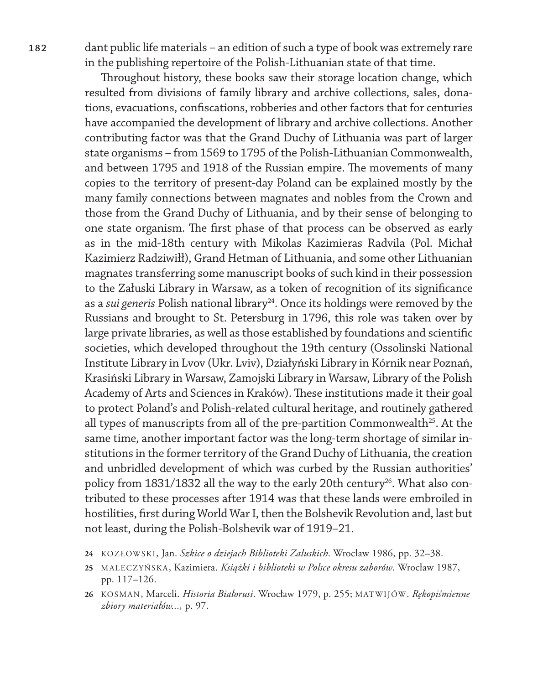**182** dant public life materials – an edition of such a type of book was extremely rare in the publishing repertoire of the Polish-Lithuanian state of that time.

> Throughout history, these books saw their storage location change, which resulted from divisions of family library and archive collections, sales, donations, evacuations, confiscations, robberies and other factors that for centuries have accompanied the development of library and archive collections. Another contributing factor was that the Grand Duchy of Lithuania was part of larger state organisms – from 1569 to 1795 of the Polish-Lithuanian Commonwealth, and between 1795 and 1918 of the Russian empire. The movements of many copies to the territory of present-day Poland can be explained mostly by the many family connections between magnates and nobles from the Crown and those from the Grand Duchy of Lithuania, and by their sense of belonging to one state organism. The first phase of that process can be observed as early as in the mid-18th century with Mikolas Kazimieras Radvila (Pol. Michał Kazimierz Radziwiłł), Grand Hetman of Lithuania, and some other Lithuanian magnates transferring some manuscript books of such kind in their possession to the Załuski Library in Warsaw, as a token of recognition of its significance as a *sui generis* Polish national library<sup>24</sup>. Once its holdings were removed by the Russians and brought to St. Petersburg in 1796, this role was taken over by large private libraries, as well as those established by foundations and scientific societies, which developed throughout the 19th century (Ossolinski National Institute Library in Lvov (Ukr. Lviv), Działyński Library in Kórnik near Poznań, Krasiński Library in Warsaw, Zamojski Library in Warsaw, Library of the Polish Academy of Arts and Sciences in Kraków). These institutions made it their goal to protect Poland's and Polish-related cultural heritage, and routinely gathered all types of manuscripts from all of the pre-partition Commonwealth<sup>25</sup>. At the same time, another important factor was the long-term shortage of similar institutions in the former territory of the Grand Duchy of Lithuania, the creation and unbridled development of which was curbed by the Russian authorities' policy from 1831/1832 all the way to the early 20th century<sup>26</sup>. What also contributed to these processes after 1914 was that these lands were embroiled in hostilities, first during World War I, then the Bolshevik Revolution and, last but not least, during the Polish-Bolshevik war of 1919–21.

- **24** KOZŁOWSKI, Jan. *Szkice o dziejach Biblioteki Załuskich*. Wrocław 1986, pp. 32–38.
- **25** MALECZYŃSKA, Kazimiera. *Książki i biblioteki w Polsce okresu zaborów*. Wrocław 1987, pp. 117–126.
- **26** KOSMAN, Marceli. *Historia Białorusi*. Wrocław 1979, p. 255; MATWIJÓW. *Rękopiśmienne zbiory materiałów...,* p. 97.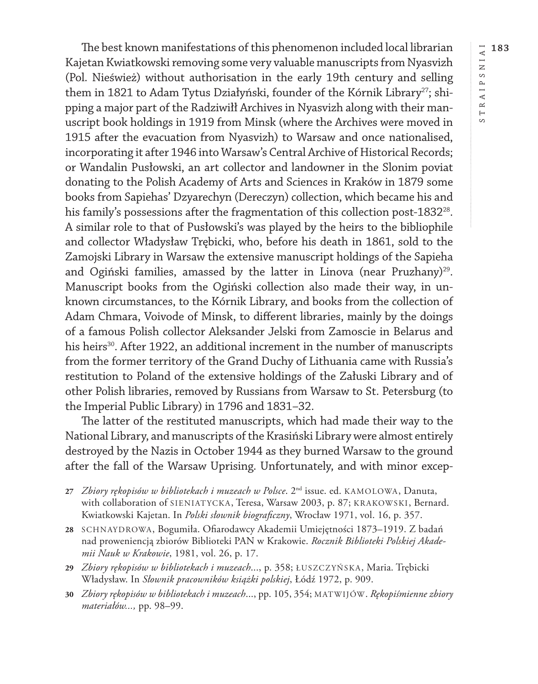The best known manifestations of this phenomenon included local librarian Kajetan Kwiatkowski removing some very valuable manuscripts from Nyasvizh (Pol. Nieśwież) without authorisation in the early 19th century and selling them in 1821 to Adam Tytus Działyński, founder of the Kórnik Library<sup>27</sup>; shipping a major part of the Radziwiłł Archives in Nyasvizh along with their manuscript book holdings in 1919 from Minsk (where the Archives were moved in 1915 after the evacuation from Nyasvizh) to Warsaw and once nationalised, incorporating it after 1946 into Warsaw's Central Archive of Historical Records; or Wandalin Pusłowski, an art collector and landowner in the Slonim poviat donating to the Polish Academy of Arts and Sciences in Kraków in 1879 some books from Sapiehas' Dzyarechyn (Dereczyn) collection, which became his and his family's possessions after the fragmentation of this collection post-1832<sup>28</sup>. A similar role to that of Pusłowski's was played by the heirs to the bibliophile and collector Władysław Trębicki, who, before his death in 1861, sold to the Zamojski Library in Warsaw the extensive manuscript holdings of the Sapieha and Ogiński families, amassed by the latter in Linova (near Pruzhany)<sup>29</sup>. Manuscript books from the Ogiński collection also made their way, in unknown circumstances, to the Kórnik Library, and books from the collection of Adam Chmara, Voivode of Minsk, to different libraries, mainly by the doings of a famous Polish collector Aleksander Jelski from Zamoscie in Belarus and his heirs<sup>30</sup>. After 1922, an additional increment in the number of manuscripts from the former territory of the Grand Duchy of Lithuania came with Russia's restitution to Poland of the extensive holdings of the Załuski Library and of other Polish libraries, removed by Russians from Warsaw to St. Petersburg (to the Imperial Public Library) in 1796 and 1831–32.

The latter of the restituted manuscripts, which had made their way to the National Library, and manuscripts of the Krasiński Library were almost entirely destroyed by the Nazis in October 1944 as they burned Warsaw to the ground after the fall of the Warsaw Uprising. Unfortunately, and with minor excep-

- **27** *Zbiory rękopisów w bibliotekach i muzeach w Polsce*. 2nd issue. ed. KAMOLOWA, Danuta, with collaboration of SIENIATYCKA, Teresa, Warsaw 2003, p. 87; KRAKOWSKI, Bernard. Kwiatkowski Kajetan. In *Polski słownik biograficzny*, Wrocław 1971, vol. 16, p. 357.
- **28** SCHNAYDROWA, Bogumiła. Ofiarodawcy Akademii Umiejętności 1873–1919. Z badań nad proweniencją zbiorów Biblioteki PAN w Krakowie. *Rocznik Biblioteki Polskiej Akademii Nauk w Krakowie*, 1981, vol. 26, p. 17.
- **29** *Zbiory rękopisów w bibliotekach i muzeach*..., p. 358; ŁUSZCZYŃSKA, Maria. Trębicki Władysław. In *Słownik pracowników książki polskiej*, Łódź 1972, p. 909.
- **30** *Zbiory rękopisów w bibliotekach i muzeach*..., pp. 105, 354; MATWIJÓW. *Rękopiśmienne zbiory materiałów...,* pp. 98–99.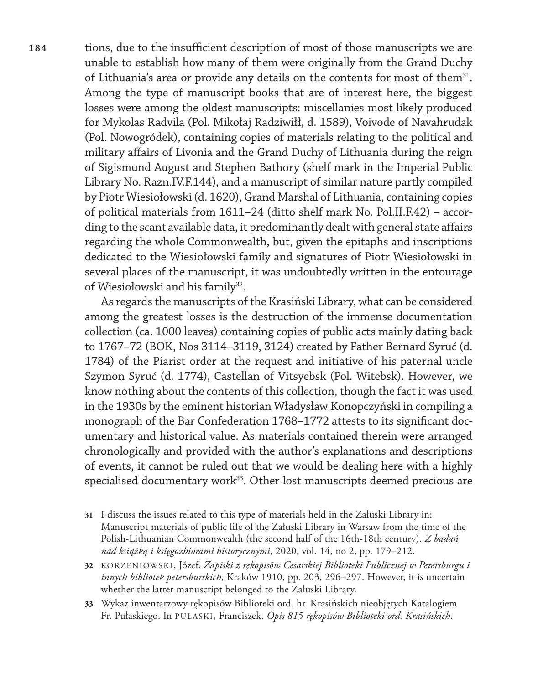**184** tions, due to the insufficient description of most of those manuscripts we are unable to establish how many of them were originally from the Grand Duchy of Lithuania's area or provide any details on the contents for most of them<sup>31</sup>. Among the type of manuscript books that are of interest here, the biggest losses were among the oldest manuscripts: miscellanies most likely produced for Mykolas Radvila (Pol. Mikołaj Radziwiłł, d. 1589), Voivode of Navahrudak (Pol. Nowogródek), containing copies of materials relating to the political and military affairs of Livonia and the Grand Duchy of Lithuania during the reign of Sigismund August and Stephen Bathory (shelf mark in the Imperial Public Library No.<Razn.IV>.F.144), and a manuscript of similar nature partly compiled by Piotr Wiesiołowski (d. 1620), Grand Marshal of Lithuania, containing copies of political materials from 1611–24 (ditto shelf mark No. <Pol.II>.F.42) – according to the scant available data, it predominantly dealt with general state affairs regarding the whole Commonwealth, but, given the epitaphs and inscriptions dedicated to the Wiesiołowski family and signatures of Piotr Wiesiołowski in several places of the manuscript, it was undoubtedly written in the entourage of Wiesiołowski and his family<sup>32</sup>.

> As regards the manuscripts of the Krasiński Library, what can be considered among the greatest losses is the destruction of the immense documentation collection (ca. 1000 leaves) containing copies of public acts mainly dating back to 1767–72 (BOK, Nos 3114–3119, 3124) created by Father Bernard Syruć (d. 1784) of the Piarist order at the request and initiative of his paternal uncle Szymon Syruć (d. 1774), Castellan of Vitsyebsk (Pol. Witebsk). However, we know nothing about the contents of this collection, though the fact it was used in the 1930s by the eminent historian Władysław Konopczyński in compiling a monograph of the Bar Confederation 1768–1772 attests to its significant documentary and historical value. As materials contained therein were arranged chronologically and provided with the author's explanations and descriptions of events, it cannot be ruled out that we would be dealing here with a highly specialised documentary work<sup>33</sup>. Other lost manuscripts deemed precious are

- **31** I discuss the issues related to this type of materials held in the Załuski Library in: Manuscript materials of public life of the Załuski Library in Warsaw from the time of the Polish-Lithuanian Commonwealth (the second half of the 16th-18th century). *Z badań nad książką i księgozbiorami historycznymi*, 2020, vol. 14, no 2, pp. 179–212.
- **32** KORZENIOWSKI, Józef. *Zapiski z rękopisów Cesarskiej Biblioteki Publicznej w Petersburgu i innych bibliotek petersburskich*, Kraków 1910, pp. 203, 296–297. However, it is uncertain whether the latter manuscript belonged to the Załuski Library.
- **33** Wykaz inwentarzowy rękopisów Biblioteki ord. hr. Krasińskich nieobjętych Katalogiem Fr. Pułaskiego. In PUŁASKI, Franciszek. *Opis 815 rękopisów Biblioteki ord. Krasińskich*.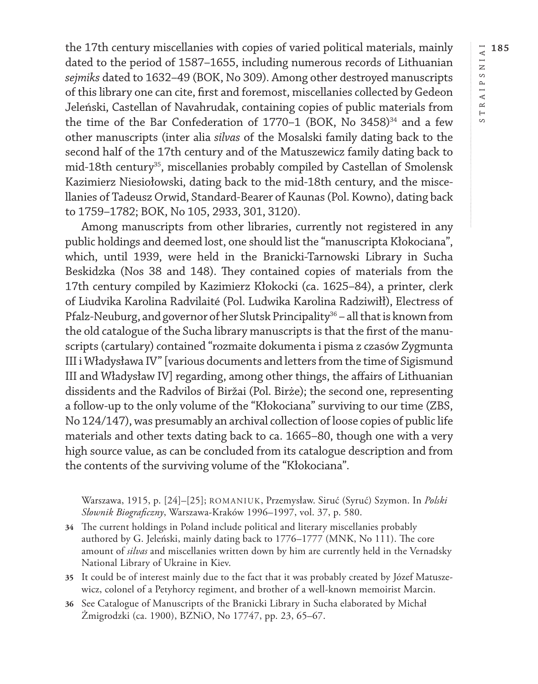the 17th century miscellanies with copies of varied political materials, mainly dated to the period of 1587–1655, including numerous records of Lithuanian *sejmiks* dated to 1632–49 (BOK, No 309). Among other destroyed manuscripts of this library one can cite, first and foremost, miscellanies collected by Gedeon Jeleński, Castellan of Navahrudak, containing copies of public materials from the time of the Bar Confederation of 1770–1 (BOK, No  $3458$ )<sup>34</sup> and a few other manuscripts (inter alia *silvas* of the Mosalski family dating back to the second half of the 17th century and of the Matuszewicz family dating back to mid-18th century<sup>35</sup>, miscellanies probably compiled by Castellan of Smolensk Kazimierz Niesiołowski, dating back to the mid-18th century, and the miscellanies of Tadeusz Orwid, Standard-Bearer of Kaunas (Pol. Kowno), dating back to 1759–1782; BOK, No 105, 2933, 301, 3120).

Among manuscripts from other libraries, currently not registered in any public holdings and deemed lost, one should list the "manuscripta Kłokociana", which, until 1939, were held in the Branicki-Tarnowski Library in Sucha Beskidzka (Nos 38 and 148). They contained copies of materials from the 17th century compiled by Kazimierz Kłokocki (ca. 1625–84), a printer, clerk of Liudvika Karolina Radvilaité (Pol. Ludwika Karolina Radziwiłł), Electress of Pfalz-Neuburg, and governor of her Slutsk Principality<sup>36</sup> – all that is known from the old catalogue of the Sucha library manuscripts is that the first of the manuscripts (cartulary) contained "rozmaite dokumenta i pisma z czasów Zygmunta III i Władysława IV" [various documents and letters from the time of Sigismund III and Władysław IV] regarding, among other things, the affairs of Lithuanian dissidents and the Radvilos of Biržai (Pol. Birże); the second one, representing a follow-up to the only volume of the "Kłokociana" surviving to our time (ZBS, No 124/147), was presumably an archival collection of loose copies of public life materials and other texts dating back to ca. 1665–80, though one with a very high source value, as can be concluded from its catalogue description and from the contents of the surviving volume of the "Kłokociana".

Warszawa, 1915, p. [24]–[25]; ROMANIUK, Przemysław. Siruć (Syruć) Szymon. In *Polski Słownik Biograficzny*, Warszawa-Kraków 1996–1997, vol. 37, p. 580.

- **34** The current holdings in Poland include political and literary miscellanies probably authored by G. Jeleński, mainly dating back to 1776–1777 (MNK, No 111). The core amount of *silvas* and miscellanies written down by him are currently held in the Vernadsky National Library of Ukraine in Kiev.
- **35** It could be of interest mainly due to the fact that it was probably created by Józef Matuszewicz, colonel of a Petyhorcy regiment, and brother of a well-known memoirist Marcin.
- **36** See Catalogue of Manuscripts of the Branicki Library in Sucha elaborated by Michał Żmigrodzki (ca. 1900), BZNiO, No 17747, pp. 23, 65–67.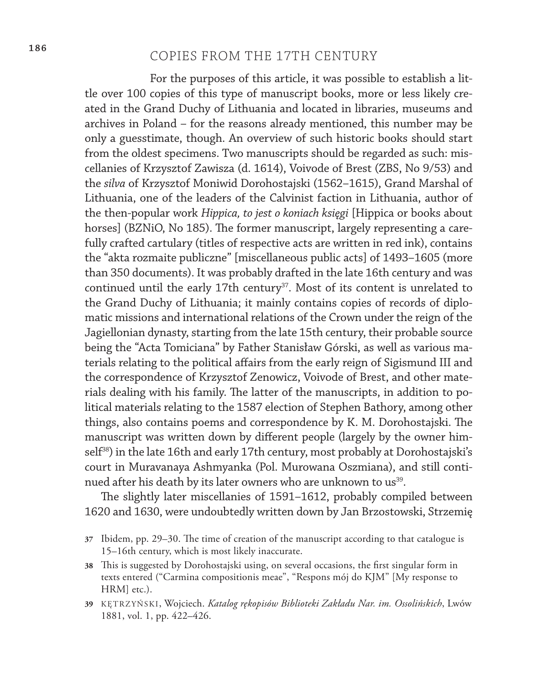# **<sup>186</sup>** COPIES FROM THE 17TH CENTURY

For the purposes of this article, it was possible to establish a little over 100 copies of this type of manuscript books, more or less likely created in the Grand Duchy of Lithuania and located in libraries, museums and archives in Poland – for the reasons already mentioned, this number may be only a guesstimate, though. An overview of such historic books should start from the oldest specimens. Two manuscripts should be regarded as such: miscellanies of Krzysztof Zawisza (d. 1614), Voivode of Brest (ZBS, No 9/53) and the *silva* of Krzysztof Moniwid Dorohostajski (1562–1615), Grand Marshal of Lithuania, one of the leaders of the Calvinist faction in Lithuania, author of the then-popular work *Hippica, to jest o koniach księgi* [Hippica or books about horses] (BZNiO, No 185). The former manuscript, largely representing a carefully crafted cartulary (titles of respective acts are written in red ink), contains the "akta rozmaite publiczne" [miscellaneous public acts] of 1493–1605 (more than 350 documents). It was probably drafted in the late 16th century and was continued until the early 17th century<sup>37</sup>. Most of its content is unrelated to the Grand Duchy of Lithuania; it mainly contains copies of records of diplomatic missions and international relations of the Crown under the reign of the Jagiellonian dynasty, starting from the late 15th century, their probable source being the "Acta Tomiciana" by Father Stanisław Górski, as well as various materials relating to the political affairs from the early reign of Sigismund III and the correspondence of Krzysztof Zenowicz, Voivode of Brest, and other materials dealing with his family. The latter of the manuscripts, in addition to political materials relating to the 1587 election of Stephen Bathory, among other things, also contains poems and correspondence by K. M. Dorohostajski. The manuscript was written down by different people (largely by the owner himself<sup>38</sup>) in the late 16th and early 17th century, most probably at Dorohostajski's court in Muravanaya Ashmyanka (Pol. Murowana Oszmiana), and still continued after his death by its later owners who are unknown to us<sup>39</sup>.

The slightly later miscellanies of 1591–1612, probably compiled between 1620 and 1630, were undoubtedly written down by Jan Brzostowski, Strzemię

- **37** Ibidem, pp. 29–30. The time of creation of the manuscript according to that catalogue is 15–16th century, which is most likely inaccurate.
- **38** This is suggested by Dorohostajski using, on several occasions, the first singular form in texts entered ("Carmina compositionis meae", "Respons mój do KJM" [My response to HRM] etc.).
- **39** KĘTRZYŃSKI, Wojciech. *Katalog rękopisów Biblioteki Zakładu Nar. im. Ossolińskich*, Lwów 1881, vol. 1, pp. 422–426.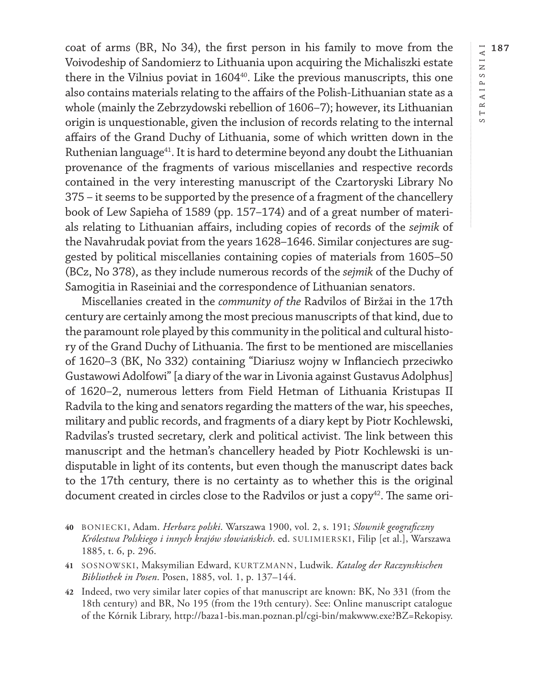coat of arms (BR, No 34), the first person in his family to move from the Voivodeship of Sandomierz to Lithuania upon acquiring the Michaliszki estate there in the Vilnius poviat in 1604<sup>40</sup>. Like the previous manuscripts, this one also contains materials relating to the affairs of the Polish-Lithuanian state as a whole (mainly the Zebrzydowski rebellion of 1606–7); however, its Lithuanian origin is unquestionable, given the inclusion of records relating to the internal affairs of the Grand Duchy of Lithuania, some of which written down in the Ruthenian language<sup>41</sup>. It is hard to determine beyond any doubt the Lithuanian provenance of the fragments of various miscellanies and respective records contained in the very interesting manuscript of the Czartoryski Library No 375 – it seems to be supported by the presence of a fragment of the chancellery book of Lew Sapieha of 1589 (pp. 157–174) and of a great number of materials relating to Lithuanian affairs, including copies of records of the *sejmik* of the Navahrudak poviat from the years 1628–1646. Similar conjectures are suggested by political miscellanies containing copies of materials from 1605–50 (BCz, No 378), as they include numerous records of the *sejmik* of the Duchy of Samogitia in Raseiniai and the correspondence of Lithuanian senators.

Miscellanies created in the *community of the* Radvilos of Biržai in the 17th century are certainly among the most precious manuscripts of that kind, due to the paramount role played by this community in the political and cultural history of the Grand Duchy of Lithuania. The first to be mentioned are miscellanies of 1620–3 (BK, No 332) containing "Diariusz wojny w Inflanciech przeciwko Gustawowi Adolfowi" [a diary of the war in Livonia against Gustavus Adolphus] of 1620–2, numerous letters from Field Hetman of Lithuania Kristupas II Radvila to the king and senators regarding the matters of the war, his speeches, military and public records, and fragments of a diary kept by Piotr Kochlewski, Radvilas's trusted secretary, clerk and political activist. The link between this manuscript and the hetman's chancellery headed by Piotr Kochlewski is undisputable in light of its contents, but even though the manuscript dates back to the 17th century, there is no certainty as to whether this is the original document created in circles close to the Radvilos or just a copy<sup>42</sup>. The same ori-

- **40** BONIECKI, Adam. *Herbarz polski*. Warszawa 1900, vol. 2, s. 191; *Słownik geograficzny Królestwa Polskiego i innych krajów słowiańskich*. ed. SULIMIERSKI, Filip [et al.], Warszawa 1885, t. 6, p. 296.
- **41** SOSNOWSKI, Maksymilian Edward, KURTZMANN, Ludwik. *Katalog der Raczynskischen Bibliothek in Posen*. Posen, 1885, vol. 1, p. 137–144.
- **42** Indeed, two very similar later copies of that manuscript are known: BK, No 331 (from the 18th century) and BR, No 195 (from the 19th century). See: Online manuscript catalogue of the Kórnik Library, <http://baza1-bis.man.poznan.pl/cgi-bin/makwww.exe?BZ=Rekopisy.>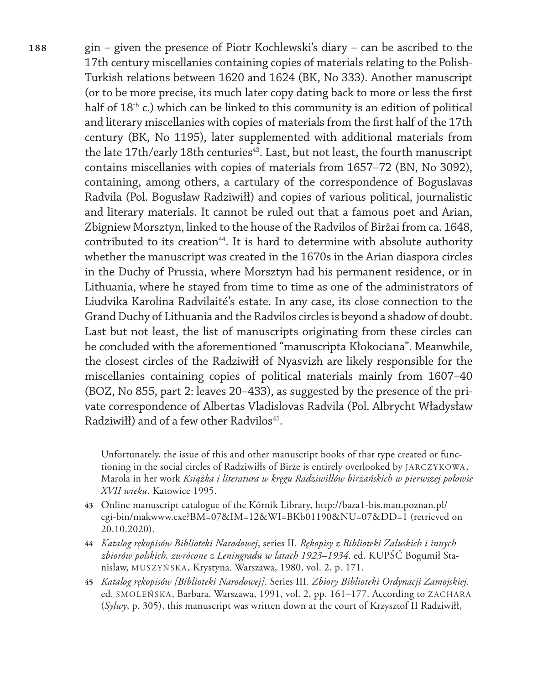**188** gin – given the presence of Piotr Kochlewski's diary – can be ascribed to the 17th century miscellanies containing copies of materials relating to the Polish-Turkish relations between 1620 and 1624 (BK, No 333). Another manuscript (or to be more precise, its much later copy dating back to more or less the first half of 18<sup>th</sup> c.) which can be linked to this community is an edition of political and literary miscellanies with copies of materials from the first half of the 17th century (BK, No 1195), later supplemented with additional materials from the late 17th/early 18th centuries<sup>43</sup>. Last, but not least, the fourth manuscript contains miscellanies with copies of materials from 1657–72 (BN, No 3092), containing, among others, a cartulary of the correspondence of Boguslavas Radvila (Pol. Bogusław Radziwiłł) and copies of various political, journalistic and literary materials. It cannot be ruled out that a famous poet and Arian, Zbigniew Morsztyn, linked to the house of the Radvilos of Biržai from ca. 1648, contributed to its creation<sup>44</sup>. It is hard to determine with absolute authority whether the manuscript was created in the 1670s in the Arian diaspora circles in the Duchy of Prussia, where Morsztyn had his permanent residence, or in Lithuania, where he stayed from time to time as one of the administrators of Liudvika Karolina Radvilaité's estate. In any case, its close connection to the Grand Duchy of Lithuania and the Radvilos circles is beyond a shadow of doubt. Last but not least, the list of manuscripts originating from these circles can be concluded with the aforementioned "manuscripta Kłokociana". Meanwhile, the closest circles of the Radziwiłł of Nyasvizh are likely responsible for the miscellanies containing copies of political materials mainly from 1607–40 (BOZ, No 855, part 2: leaves 20–433), as suggested by the presence of the private correspondence of Albertas Vladislovas Radvila (Pol. Albrycht Władysław  $Radziwif)$  and of a few other Radvilos<sup>45</sup>.

> Unfortunately, the issue of this and other manuscript books of that type created or functioning in the social circles of Radziwiłłs of Birże is entirely overlooked by JARCZYKOWA, Marola in her work *Książka i literatura w kręgu Radziwiłłów birżańskich w pierwszej połowie XVII wieku*. Katowice 1995.

- **43** Online manuscript catalogue of the Kórnik Library, [http://baza1-bis.man.poznan.pl/](http://baza1-bis.man.poznan.pl/cgi-bin/makwww.exe?BM=07&IM=12&WI=BKb01190&NU=07&DD=1) [cgi-bin/makwww.exe?BM=07&IM=12&WI=BKb01190&NU=07&DD=1](http://baza1-bis.man.poznan.pl/cgi-bin/makwww.exe?BM=07&IM=12&WI=BKb01190&NU=07&DD=1) (retrieved on 20.10.2020).
- **44** *Katalog rękopisów Biblioteki Narodowej*, series II. *Rękopisy z Biblioteki Załuskich i innych zbiorów polskich, zwrócone z Leningradu w latach 1923–1934*. ed. KUPŚĆ Bogumił Stanisław, MUSZYŃSKA, Krystyna. Warszawa, 1980, vol. 2, p. 171.
- **45** *Katalog rękopisów [Biblioteki Narodowej]*. Series III. *Zbiory Biblioteki Ordynacji Zamojskiej*. ed. SMOLEŃSKA, Barbara. Warszawa, 1991, vol. 2, pp. 161–177. According to ZACHARA (*Sylwy*, p. 305), this manuscript was written down at the court of Krzysztof II Radziwiłł,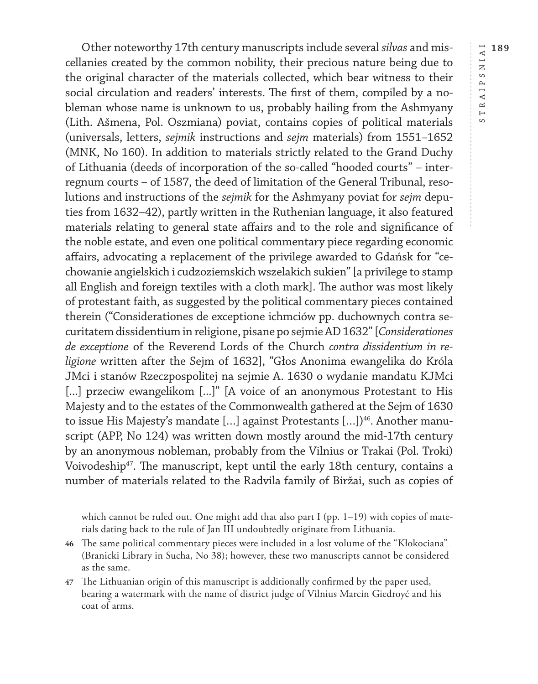RAIPSNIAI **189** STRAIPSNIAI  $\longmapsto$  $\infty$ 

Other noteworthy 17th century manuscripts include several *silvas* and miscellanies created by the common nobility, their precious nature being due to the original character of the materials collected, which bear witness to their social circulation and readers' interests. The first of them, compiled by a nobleman whose name is unknown to us, probably hailing from the Ashmyany (Lith. Ašmena, Pol. Oszmiana) poviat, contains copies of political materials (universals, letters, *sejmik* instructions and *sejm* materials) from 1551–1652 (MNK, No 160). In addition to materials strictly related to the Grand Duchy of Lithuania (deeds of incorporation of the so-called "hooded courts" – interregnum courts – of 1587, the deed of limitation of the General Tribunal, resolutions and instructions of the *sejmik* for the Ashmyany poviat for *sejm* deputies from 1632–42), partly written in the Ruthenian language, it also featured materials relating to general state affairs and to the role and significance of the noble estate, and even one political commentary piece regarding economic affairs, advocating a replacement of the privilege awarded to Gdańsk for "cechowanie angielskich i cudzoziemskich wszelakich sukien" [a privilege to stamp all English and foreign textiles with a cloth mark]. The author was most likely of protestant faith, as suggested by the political commentary pieces contained therein ("Considerationes de exceptione ichmciów pp. duchownych contra securitatem dissidentium in religione, pisane po sejmie AD 1632" [*Considerationes de exceptione* of the Reverend Lords of the Church *contra dissidentium in religione* written after the Sejm of 1632], "Głos Anonima ewangelika do Króla JMci i stanów Rzeczpospolitej na sejmie A. 1630 o wydanie mandatu KJMci [...] przeciw ewangelikom [...]" [A voice of an anonymous Protestant to His Majesty and to the estates of the Commonwealth gathered at the Sejm of 1630 to issue His Majesty's mandate  $[\dots]$  against Protestants  $[\dots]$ <sup>46</sup>. Another manuscript (APP, No 124) was written down mostly around the mid-17th century by an anonymous nobleman, probably from the Vilnius or Trakai (Pol. Troki) Voivodeship<sup>47</sup>. The manuscript, kept until the early 18th century, contains a number of materials related to the Radvila family of Biržai, such as copies of

which cannot be ruled out. One might add that also part I (pp.  $1-19$ ) with copies of materials dating back to the rule of Jan III undoubtedly originate from Lithuania.

- **46** The same political commentary pieces were included in a lost volume of the "Kłokociana" (Branicki Library in Sucha, No 38); however, these two manuscripts cannot be considered as the same.
- **47** The Lithuanian origin of this manuscript is additionally confirmed by the paper used, bearing a watermark with the name of district judge of Vilnius Marcin Giedroyć and his coat of arms.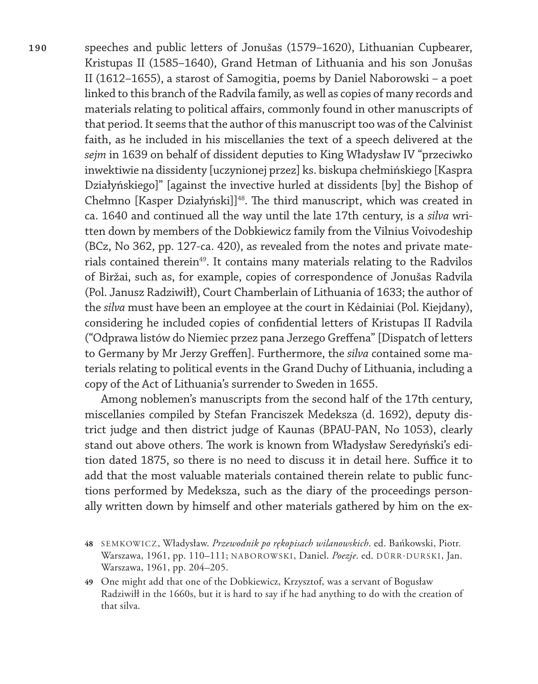**190** speeches and public letters of Jonušas (1579–1620), Lithuanian Cupbearer, Kristupas II (1585–1640), Grand Hetman of Lithuania and his son Jonušas II (1612–1655), a starost of Samogitia, poems by Daniel Naborowski – a poet linked to this branch of the Radvila family, as well as copies of many records and materials relating to political affairs, commonly found in other manuscripts of that period. It seems that the author of this manuscript too was of the Calvinist faith, as he included in his miscellanies the text of a speech delivered at the *sejm* in 1639 on behalf of dissident deputies to King Władysław IV "przeciwko inwektiwie na dissidenty [uczynionej przez] ks. biskupa chełmińskiego [Kaspra Działyńskiego]" [against the invective hurled at dissidents [by] the Bishop of Chełmno [Kasper Działyński]]<sup>48</sup>. The third manuscript, which was created in ca. 1640 and continued all the way until the late 17th century, is a *silva* written down by members of the Dobkiewicz family from the Vilnius Voivodeship (BCz, No 362, pp. 127-ca. 420), as revealed from the notes and private materials contained therein<sup>49</sup>. It contains many materials relating to the Radvilos of Biržai, such as, for example, copies of correspondence of Jonušas Radvila (Pol. Janusz Radziwiłł), Court Chamberlain of Lithuania of 1633; the author of the *silva* must have been an employee at the court in Kėdainiai (Pol. Kiejdany), considering he included copies of confidential letters of Kristupas II Radvila ("Odprawa listów do Niemiec przez pana Jerzego Greffena" [Dispatch of letters to Germany by Mr Jerzy Greffen]. Furthermore, the *silva* contained some materials relating to political events in the Grand Duchy of Lithuania, including a copy of the Act of Lithuania's surrender to Sweden in 1655.

> Among noblemen's manuscripts from the second half of the 17th century, miscellanies compiled by Stefan Franciszek Medeksza (d. 1692), deputy district judge and then district judge of Kaunas (BPAU-PAN, No 1053), clearly stand out above others. The work is known from Władysław Seredyński's edition dated 1875, so there is no need to discuss it in detail here. Suffice it to add that the most valuable materials contained therein relate to public functions performed by Medeksza, such as the diary of the proceedings personally written down by himself and other materials gathered by him on the ex-

**49** One might add that one of the Dobkiewicz, Krzysztof, was a servant of Bogusław Radziwiłł in the 1660s, but it is hard to say if he had anything to do with the creation of that silva.

**<sup>48</sup>** SEMKOWICZ, Władysław. *Przewodnik po rękopisach wilanowskich*. ed. Bańkowski, Piotr. Warszawa, 1961, pp. 110–111; NABOROWSKI, Daniel. *Poezje*. ed. DÜRR-DURSKI, Jan. Warszawa, 1961, pp. 204–205.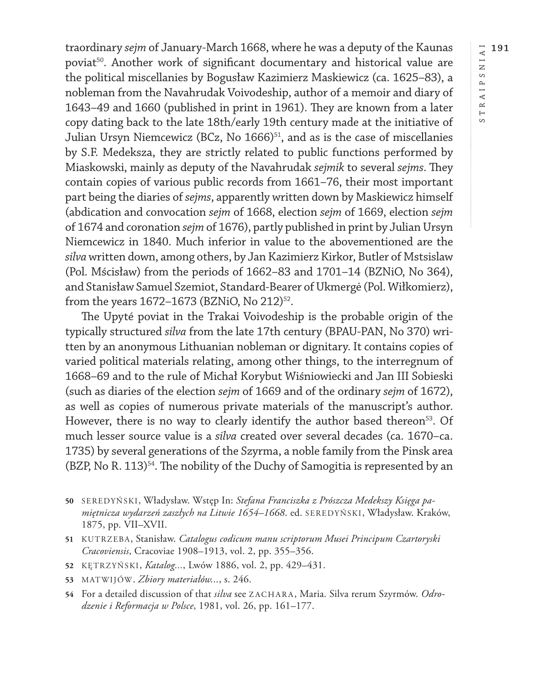traordinary *sejm* of January-March 1668, where he was a deputy of the Kaunas poviat<sup>50</sup>. Another work of significant documentary and historical value are the political miscellanies by Bogusław Kazimierz Maskiewicz (ca. 1625–83), a nobleman from the Navahrudak Voivodeship, author of a memoir and diary of 1643–49 and 1660 (published in print in 1961). They are known from a later copy dating back to the late 18th/early 19th century made at the initiative of Julian Ursyn Niemcewicz (BCz, No 1666)<sup>51</sup>, and as is the case of miscellanies by S.F. Medeksza, they are strictly related to public functions performed by Miaskowski, mainly as deputy of the Navahrudak *sejmik* to several *sejms*. They contain copies of various public records from 1661–76, their most important part being the diaries of *sejms*, apparently written down by Maskiewicz himself (abdication and convocation *sejm* of 1668, election *sejm* of 1669, election *sejm* of 1674 and coronation *sejm* of 1676), partly published in print by Julian Ursyn Niemcewicz in 1840. Much inferior in value to the abovementioned are the *silva* written down, among others, by Jan Kazimierz Kirkor, Butler of Mstsislaw (Pol. Mścisław) from the periods of 1662–83 and 1701–14 (BZNiO, No 364), and Stanisław Samuel Szemiot, Standard-Bearer of Ukmergė (Pol. Wiłkomierz), from the years  $1672 - 1673$  (BZNiO, No  $212$ )<sup>52</sup>.

The Upyté poviat in the Trakai Voivodeship is the probable origin of the typically structured *silva* from the late 17th century (BPAU-PAN, No 370) written by an anonymous Lithuanian nobleman or dignitary. It contains copies of varied political materials relating, among other things, to the interregnum of 1668–69 and to the rule of Michał Korybut Wiśniowiecki and Jan III Sobieski (such as diaries of the election *sejm* of 1669 and of the ordinary *sejm* of 1672), as well as copies of numerous private materials of the manuscript's author. However, there is no way to clearly identify the author based thereon<sup>53</sup>. Of much lesser source value is a *silva* created over several decades (ca. 1670–ca. 1735) by several generations of the Szyrma, a noble family from the Pinsk area (BZP, No R. 113)54. The nobility of the Duchy of Samogitia is represented by an

- **50** SEREDYŃSKI, Władysław. Wstęp In: *Stefana Franciszka z Prószcza Medekszy Księga pamiętnicza wydarzeń zaszłych na Litwie 1654–1668*. ed. SEREDYŃSKI, Władysław. Kraków, 1875, pp. VII–XVII.
- **51** KUTRZEBA, Stanisław. *Catalogus codicum manu scriptorum Musei Principum Czartoryski Cracoviensis*, Cracoviae 1908–1913, vol. 2, pp. 355–356.
- **52** KĘTRZYŃSKI, *Katalog...*, Lwów 1886, vol. 2, pp. 429–431.
- **53** MATWIJÓW. *Zbiory materiałów...*, s. 246.
- **54** For a detailed discussion of that *silva* see ZACHARA, Maria. Silva rerum Szyrmów. *Odrodzenie i Reformacja w Polsce*, 1981, vol. 26, pp. 161–177.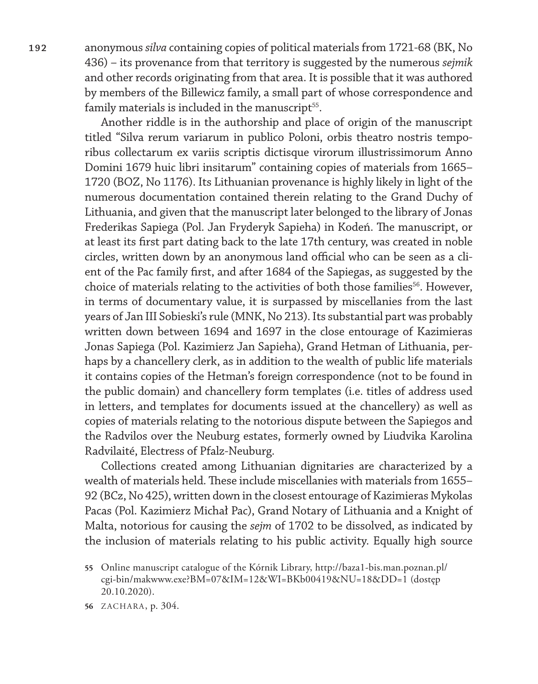**192** anonymous *silva* containing copies of political materials from 1721-68 (BK, No 436) – its provenance from that territory is suggested by the numerous *sejmik* and other records originating from that area. It is possible that it was authored by members of the Billewicz family, a small part of whose correspondence and family materials is included in the manuscript<sup>55</sup>.

> Another riddle is in the authorship and place of origin of the manuscript titled "Silva rerum variarum in publico Poloni, orbis theatro nostris temporibus collectarum ex variis scriptis dictisque virorum illustrissimorum Anno Domini 1679 huic libri insitarum" containing copies of materials from 1665– 1720 (BOZ, No 1176). Its Lithuanian provenance is highly likely in light of the numerous documentation contained therein relating to the Grand Duchy of Lithuania, and given that the manuscript later belonged to the library of Jonas Frederikas Sapiega (Pol. Jan Fryderyk Sapieha) in Kodeń. The manuscript, or at least its first part dating back to the late 17th century, was created in noble circles, written down by an anonymous land official who can be seen as a client of the Pac family first, and after 1684 of the Sapiegas, as suggested by the choice of materials relating to the activities of both those families<sup>56</sup>. However, in terms of documentary value, it is surpassed by miscellanies from the last years of Jan III Sobieski's rule (MNK, No 213). Its substantial part was probably written down between 1694 and 1697 in the close entourage of Kazimieras Jonas Sapiega (Pol. Kazimierz Jan Sapieha), Grand Hetman of Lithuania, perhaps by a chancellery clerk, as in addition to the wealth of public life materials it contains copies of the Hetman's foreign correspondence (not to be found in the public domain) and chancellery form templates (i.e. titles of address used in letters, and templates for documents issued at the chancellery) as well as copies of materials relating to the notorious dispute between the Sapiegos and the Radvilos over the Neuburg estates, formerly owned by Liudvika Karolina Radvilaité, Electress of Pfalz-Neuburg.

> Collections created among Lithuanian dignitaries are characterized by a wealth of materials held. These include miscellanies with materials from 1655– 92 (BCz, No 425), written down in the closest entourage of Kazimieras Mykolas Pacas (Pol. Kazimierz Michał Pac), Grand Notary of Lithuania and a Knight of Malta, notorious for causing the *sejm* of 1702 to be dissolved, as indicated by the inclusion of materials relating to his public activity. Equally high source

**<sup>55</sup>** Online manuscript catalogue of the Kórnik Library, [http://baza1-bis.man.poznan.pl/](http://baza1-bis.man.poznan.pl/cgi-bin/makwww.exe?BM=07&IM=12&WI=BKb00419&NU=18&DD=1) [cgi-bin/makwww.exe?BM=07&IM=12&WI=BKb00419&NU=18&DD=1](http://baza1-bis.man.poznan.pl/cgi-bin/makwww.exe?BM=07&IM=12&WI=BKb00419&NU=18&DD=1) (dostęp 20.10.2020).

**<sup>56</sup>** ZACHARA, p. 304.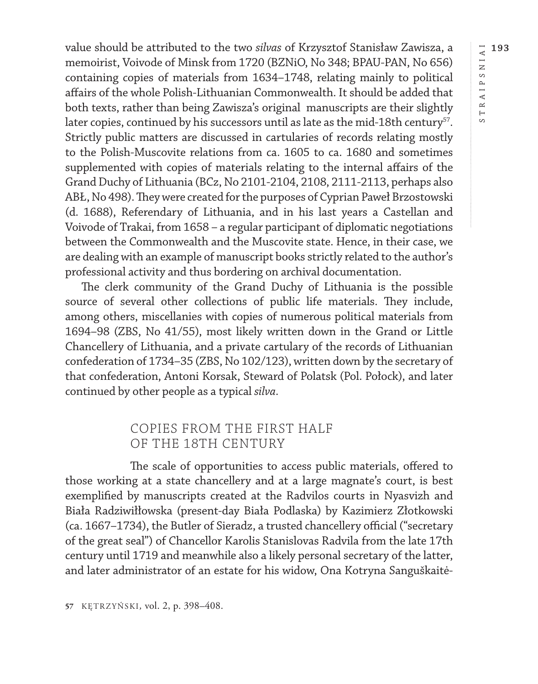value should be attributed to the two *silvas* of Krzysztof Stanisław Zawisza, a memoirist, Voivode of Minsk from 1720 (BZNiO, No 348; BPAU-PAN, No 656) containing copies of materials from 1634–1748, relating mainly to political affairs of the whole Polish-Lithuanian Commonwealth. It should be added that both texts, rather than being Zawisza's original manuscripts are their slightly later copies, continued by his successors until as late as the mid-18th century<sup>57</sup>. Strictly public matters are discussed in cartularies of records relating mostly to the Polish-Muscovite relations from ca. 1605 to ca. 1680 and sometimes supplemented with copies of materials relating to the internal affairs of the Grand Duchy of Lithuania (BCz, No 2101-2104, 2108, 2111-2113, perhaps also ABŁ, No 498). They were created for the purposes of Cyprian Paweł Brzostowski (d. 1688), Referendary of Lithuania, and in his last years a Castellan and Voivode of Trakai, from 1658 – a regular participant of diplomatic negotiations between the Commonwealth and the Muscovite state. Hence, in their case, we are dealing with an example of manuscript books strictly related to the author's professional activity and thus bordering on archival documentation.

The clerk community of the Grand Duchy of Lithuania is the possible source of several other collections of public life materials. They include, among others, miscellanies with copies of numerous political materials from 1694–98 (ZBS, No 41/55), most likely written down in the Grand or Little Chancellery of Lithuania, and a private cartulary of the records of Lithuanian confederation of 1734–35 (ZBS, No 102/123), written down by the secretary of that confederation, Antoni Korsak, Steward of Polatsk (Pol. Połock), and later continued by other people as a typical *silva*.

### COPIES FROM THE FIRST HALF OF THE 18TH CENTURY

The scale of opportunities to access public materials, offered to those working at a state chancellery and at a large magnate's court, is best exemplified by manuscripts created at the Radvilos courts in Nyasvizh and Biała Radziwiłłowska (present-day Biała Podlaska) by Kazimierz Złotkowski (ca. 1667–1734), the Butler of Sieradz, a trusted chancellery official ("secretary of the great seal") of Chancellor Karolis Stanislovas Radvila from the late 17th century until 1719 and meanwhile also a likely personal secretary of the latter, and later administrator of an estate for his widow, Ona Kotryna Sanguškaitė $\overline{\phantom{a}}$  $\circ$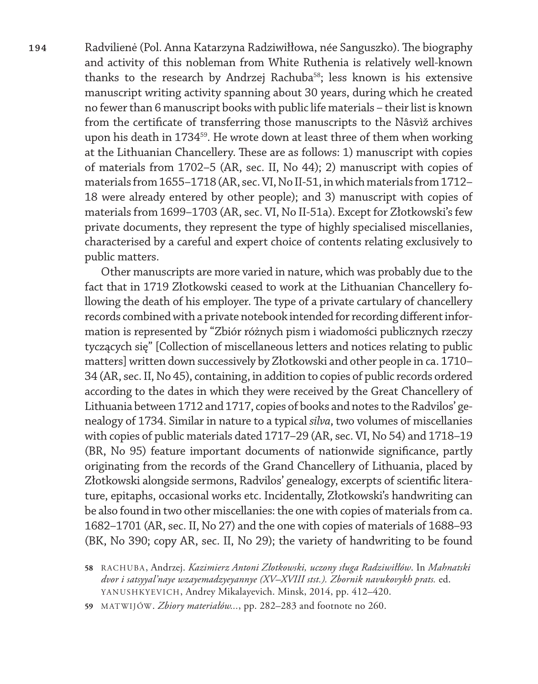**194** Radvilienė (Pol. Anna Katarzyna Radziwiłłowa, née Sanguszko). The biography and activity of this nobleman from White Ruthenia is relatively well-known thanks to the research by Andrzej Rachuba<sup>58</sup>; less known is his extensive manuscript writing activity spanning about 30 years, during which he created no fewer than 6 manuscript books with public life materials – their list is known from the certificate of transferring those manuscripts to the Nâsvìž archives upon his death in 1734<sup>59</sup>. He wrote down at least three of them when working at the Lithuanian Chancellery. These are as follows: 1) manuscript with copies of materials from 1702–5 (AR, sec. II, No 44); 2) manuscript with copies of materials from 1655–1718 (AR, sec. VI, No II-51, in which materials from 1712– 18 were already entered by other people); and 3) manuscript with copies of materials from 1699–1703 (AR, sec. VI, No II-51a). Except for Złotkowski's few private documents, they represent the type of highly specialised miscellanies, characterised by a careful and expert choice of contents relating exclusively to public matters.

> Other manuscripts are more varied in nature, which was probably due to the fact that in 1719 Złotkowski ceased to work at the Lithuanian Chancellery following the death of his employer. The type of a private cartulary of chancellery records combined with a private notebook intended for recording different information is represented by "Zbiór różnych pism i wiadomości publicznych rzeczy tyczących się" [Collection of miscellaneous letters and notices relating to public matters] written down successively by Złotkowski and other people in ca. 1710– 34 (AR, sec. II, No 45), containing, in addition to copies of public records ordered according to the dates in which they were received by the Great Chancellery of Lithuania between 1712 and 1717, copies of books and notes to the Radvilos' genealogy of 1734. Similar in nature to a typical *silva*, two volumes of miscellanies with copies of public materials dated 1717–29 (AR, sec. VI, No 54) and 1718–19 (BR, No 95) feature important documents of nationwide significance, partly originating from the records of the Grand Chancellery of Lithuania, placed by Złotkowski alongside sermons, Radvilos' genealogy, excerpts of scientific literature, epitaphs, occasional works etc. Incidentally, Złotkowski's handwriting can be also found in two other miscellanies: the one with copies of materials from ca. 1682–1701 (AR, sec. II, No 27) and the one with copies of materials of 1688–93 (BK, No 390; copy AR, sec. II, No 29); the variety of handwriting to be found

**<sup>58</sup>** RACHUBA, Andrzej. *Kazimierz Antoni Złotkowski, uczony sługa Radziwiłłów*. In *Mahnatski dvor i satsyyal'naye wzayemadzyeyannye (XV–XVIII stst.). Zbornik navukovykh prats.* ed. YANUSHKYEVICH, Andrey Mikalayevich. Minsk, 2014, pp. 412–420.

**<sup>59</sup>** MATWIJÓW. *Zbiory materiałów...*, pp. 282–283 and footnote no 260.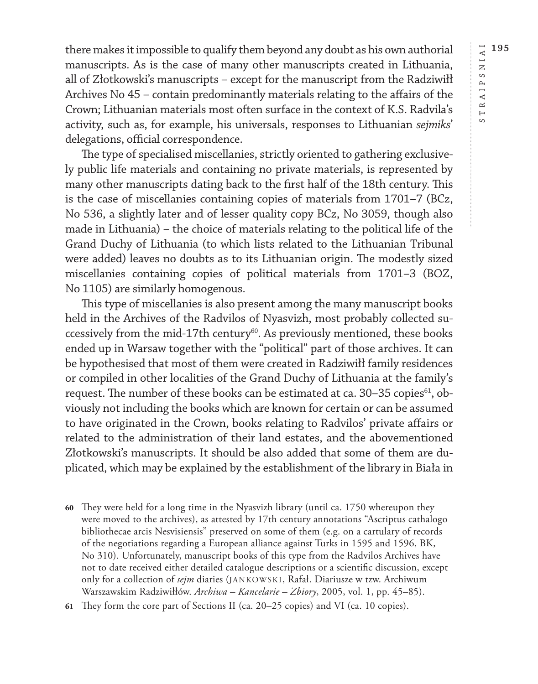there makes it impossible to qualify them beyond any doubt as his own authorial manuscripts. As is the case of many other manuscripts created in Lithuania, all of Złotkowski's manuscripts – except for the manuscript from the Radziwiłł Archives No 45 – contain predominantly materials relating to the affairs of the Crown; Lithuanian materials most often surface in the context of K.S. Radvila's activity, such as, for example, his universals, responses to Lithuanian *sejmiks*' delegations, official correspondence.

The type of specialised miscellanies, strictly oriented to gathering exclusively public life materials and containing no private materials, is represented by many other manuscripts dating back to the first half of the 18th century. This is the case of miscellanies containing copies of materials from 1701–7 (BCz, No 536, a slightly later and of lesser quality copy BCz, No 3059, though also made in Lithuania) – the choice of materials relating to the political life of the Grand Duchy of Lithuania (to which lists related to the Lithuanian Tribunal were added) leaves no doubts as to its Lithuanian origin. The modestly sized miscellanies containing copies of political materials from 1701–3 (BOZ, No 1105) are similarly homogenous.

This type of miscellanies is also present among the many manuscript books held in the Archives of the Radvilos of Nyasvizh, most probably collected successively from the mid-17th century<sup>60</sup>. As previously mentioned, these books ended up in Warsaw together with the "political" part of those archives. It can be hypothesised that most of them were created in Radziwiłł family residences or compiled in other localities of the Grand Duchy of Lithuania at the family's request. The number of these books can be estimated at ca. 30-35 copies<sup>61</sup>, obviously not including the books which are known for certain or can be assumed to have originated in the Crown, books relating to Radvilos' private affairs or related to the administration of their land estates, and the abovementioned Złotkowski's manuscripts. It should be also added that some of them are duplicated, which may be explained by the establishment of the library in Biała in

- **60** They were held for a long time in the Nyasvizh library (until ca. 1750 whereupon they were moved to the archives), as attested by 17th century annotations "Ascriptus cathalogo bibliothecae arcis Nesvisiensis" preserved on some of them (e.g. on a cartulary of records of the negotiations regarding a European alliance against Turks in 1595 and 1596, BK, No 310). Unfortunately, manuscript books of this type from the Radvilos Archives have not to date received either detailed catalogue descriptions or a scientific discussion, except only for a collection of *sejm* diaries (JANKOWSKI, Rafał. Diariusze w tzw. Archiwum Warszawskim Radziwiłłów. *Archiwa – Kancelarie – Zbiory*, 2005, vol. 1, pp. 45–85).
- **61** They form the core part of Sections II (ca. 20–25 copies) and VI (ca. 10 copies).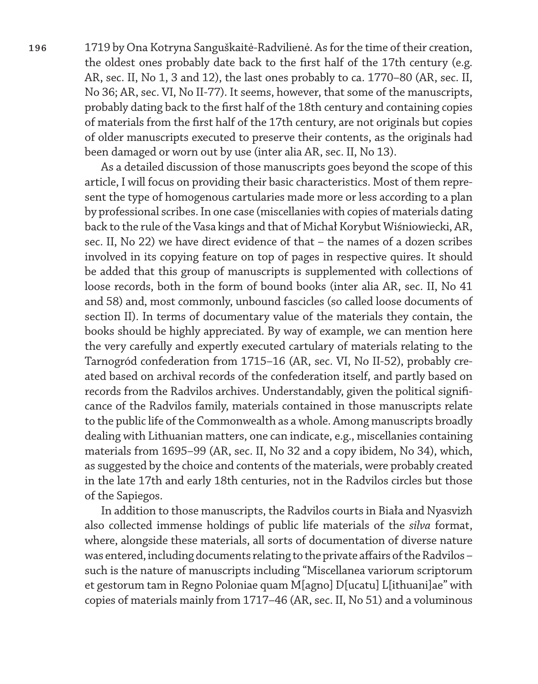**196** 1719 by Ona Kotryna Sanguškaitė-Radvilienė. As for the time of their creation, the oldest ones probably date back to the first half of the 17th century (e.g. AR, sec. II, No 1, 3 and 12), the last ones probably to ca. 1770–80 (AR, sec. II, No 36; AR, sec. VI, No II-77). It seems, however, that some of the manuscripts, probably dating back to the first half of the 18th century and containing copies of materials from the first half of the 17th century, are not originals but copies of older manuscripts executed to preserve their contents, as the originals had been damaged or worn out by use (inter alia AR, sec. II, No 13).

> As a detailed discussion of those manuscripts goes beyond the scope of this article, I will focus on providing their basic characteristics. Most of them represent the type of homogenous cartularies made more or less according to a plan by professional scribes. In one case (miscellanies with copies of materials dating back to the rule of the Vasa kings and that of Michał Korybut Wiśniowiecki, AR, sec. II, No 22) we have direct evidence of that – the names of a dozen scribes involved in its copying feature on top of pages in respective quires. It should be added that this group of manuscripts is supplemented with collections of loose records, both in the form of bound books (inter alia AR, sec. II, No 41 and 58) and, most commonly, unbound fascicles (so called loose documents of section II). In terms of documentary value of the materials they contain, the books should be highly appreciated. By way of example, we can mention here the very carefully and expertly executed cartulary of materials relating to the Tarnogród confederation from 1715–16 (AR, sec. VI, No II-52), probably created based on archival records of the confederation itself, and partly based on records from the Radvilos archives. Understandably, given the political significance of the Radvilos family, materials contained in those manuscripts relate to the public life of the Commonwealth as a whole. Among manuscripts broadly dealing with Lithuanian matters, one can indicate, e.g., miscellanies containing materials from 1695–99 (AR, sec. II, No 32 and a copy ibidem, No 34), which, as suggested by the choice and contents of the materials, were probably created in the late 17th and early 18th centuries, not in the Radvilos circles but those of the Sapiegos.

> In addition to those manuscripts, the Radvilos courts in Biała and Nyasvizh also collected immense holdings of public life materials of the *silva* format, where, alongside these materials, all sorts of documentation of diverse nature was entered, including documents relating to the private affairs of the Radvilos – such is the nature of manuscripts including "Miscellanea variorum scriptorum et gestorum tam in Regno Poloniae quam M[agno] D[ucatu] L[ithuani]ae" with copies of materials mainly from 1717–46 (AR, sec. II, No 51) and a voluminous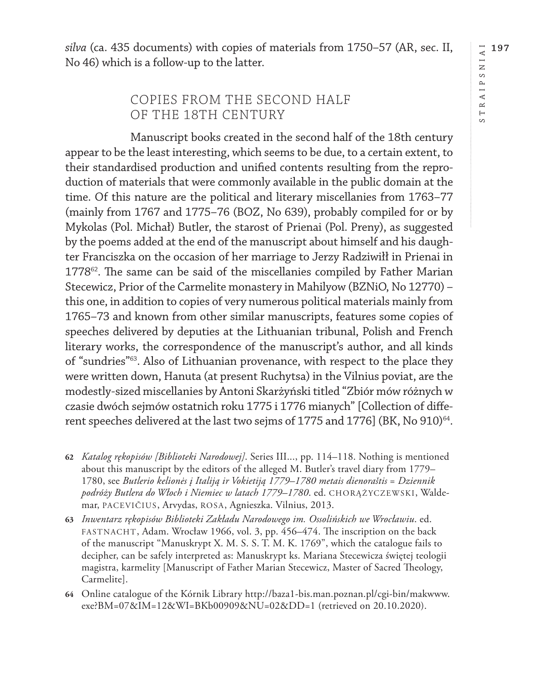*silva* (ca. 435 documents) with copies of materials from 1750–57 (AR, sec. II, No 46) which is a follow-up to the latter.

## COPIES FROM THE SECOND HALF OF THE 18TH CENTURY

Manuscript books created in the second half of the 18th century appear to be the least interesting, which seems to be due, to a certain extent, to their standardised production and unified contents resulting from the reproduction of materials that were commonly available in the public domain at the time. Of this nature are the political and literary miscellanies from 1763–77 (mainly from 1767 and 1775–76 (BOZ, No 639), probably compiled for or by Mykolas (Pol. Michał) Butler, the starost of Prienai (Pol. Preny), as suggested by the poems added at the end of the manuscript about himself and his daughter Franciszka on the occasion of her marriage to Jerzy Radziwiłł in Prienai in 1778<sup>62</sup>. The same can be said of the miscellanies compiled by Father Marian Stecewicz, Prior of the Carmelite monastery in Mahilyow (BZNiO, No 12770) – this one, in addition to copies of very numerous political materials mainly from 1765–73 and known from other similar manuscripts, features some copies of speeches delivered by deputies at the Lithuanian tribunal, Polish and French literary works, the correspondence of the manuscript's author, and all kinds of "sundries"63. Also of Lithuanian provenance, with respect to the place they were written down, Hanuta (at present Ruchytsa) in the Vilnius poviat, are the modestly-sized miscellanies by Antoni Skarżyński titled "Zbiór mów różnych w czasie dwóch sejmów ostatnich roku 1775 i 1776 mianych" [Collection of different speeches delivered at the last two sejms of 1775 and 1776] (BK, No 910)<sup>64</sup>.

- **62** *Katalog rękopisów [Biblioteki Narodowej]*. Series III..., pp. 114–118. Nothing is mentioned about this manuscript by the editors of the alleged M. Butler's travel diary from 1779– 1780, see *Butlerio kelionės į Italiją ir Vokietiją 1779–1780 metais dienoraštis* = *Dziennik podróży Butlera do Włoch i Niemiec w latach 1779–1780*. ed. CHORĄŻYCZEWSKI, Waldemar, PACEVIČIUS, Arvydas, ROSA, Agnieszka. Vilnius, 2013.
- **63** *Inwentarz rękopisów Biblioteki Zakładu Narodowego im. Ossolińskich we Wrocławiu*. ed. FASTNACHT, Adam. Wrocław 1966, vol. 3, pp. 456–474. The inscription on the back of the manuscript "Manuskrypt X. M. S. S. T. M. K. 1769", which the catalogue fails to decipher, can be safely interpreted as: Manuskrypt ks. Mariana Stecewicza świętej teologii magistra, karmelity [Manuscript of Father Marian Stecewicz, Master of Sacred Theology, Carmelite].
- **64** Online catalogue of the Kórnik Library [http://baza1-bis.man.poznan.pl/cgi-bin/makwww.](http://baza1-bis.man.poznan.pl/cgi-bin/makwww.exe?BM=07&IM=12&WI=BKb00909&NU=02&DD=1) [exe?BM=07&IM=12&WI=BKb00909&NU=02&DD=1](http://baza1-bis.man.poznan.pl/cgi-bin/makwww.exe?BM=07&IM=12&WI=BKb00909&NU=02&DD=1) (retrieved on 20.10.2020).

**197**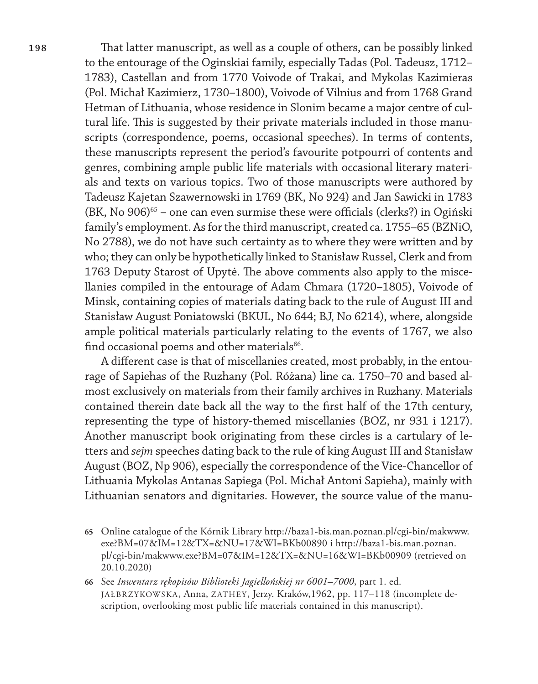**198** That latter manuscript, as well as a couple of others, can be possibly linked to the entourage of the Oginskiai family, especially Tadas (Pol. Tadeusz, 1712– 1783), Castellan and from 1770 Voivode of Trakai, and Mykolas Kazimieras (Pol. Michał Kazimierz, 1730–1800), Voivode of Vilnius and from 1768 Grand Hetman of Lithuania, whose residence in Slonim became a major centre of cultural life. This is suggested by their private materials included in those manuscripts (correspondence, poems, occasional speeches). In terms of contents, these manuscripts represent the period's favourite potpourri of contents and genres, combining ample public life materials with occasional literary materials and texts on various topics. Two of those manuscripts were authored by Tadeusz Kajetan Szawernowski in 1769 (BK, No 924) and Jan Sawicki in 1783  $(BK, No 906)^{65}$  – one can even surmise these were officials (clerks?) in Ogiński family's employment. As for the third manuscript, created ca. 1755–65 (BZNiO, No 2788), we do not have such certainty as to where they were written and by who; they can only be hypothetically linked to Stanisław Russel, Clerk and from 1763 Deputy Starost of Upytė. The above comments also apply to the miscellanies compiled in the entourage of Adam Chmara (1720–1805), Voivode of Minsk, containing copies of materials dating back to the rule of August III and Stanisław August Poniatowski (BKUL, No 644; BJ, No 6214), where, alongside ample political materials particularly relating to the events of 1767, we also find occasional poems and other materials<sup>66</sup>.

> A different case is that of miscellanies created, most probably, in the entourage of Sapiehas of the Ruzhany (Pol. Różana) line ca. 1750–70 and based almost exclusively on materials from their family archives in Ruzhany. Materials contained therein date back all the way to the first half of the 17th century, representing the type of history-themed miscellanies (BOZ, nr 931 i 1217). Another manuscript book originating from these circles is a cartulary of letters and *sejm* speeches dating back to the rule of king August III and Stanisław August (BOZ, Np 906), especially the correspondence of the Vice-Chancellor of Lithuania Mykolas Antanas Sapiega (Pol. Michał Antoni Sapieha), mainly with Lithuanian senators and dignitaries. However, the source value of the manu-

- **65** Online catalogue of the Kórnik Library [http://baza1-bis.man.poznan.pl/cgi-bin/makwww.](http://baza1-bis.man.poznan.pl/cgi-bin/makwww.exe?BM=07&IM=12&TX=&NU=17&WI=BKb00890) [exe?BM=07&IM=12&TX=&NU=17&WI=BKb00890](http://baza1-bis.man.poznan.pl/cgi-bin/makwww.exe?BM=07&IM=12&TX=&NU=17&WI=BKb00890) i [http://baza1-bis.man.poznan.](http://baza1-bis.man.poznan.pl/cgi-bin/makwww.exe?BM=07&IM=12&TX=&NU=16&WI=BKb00909) [pl/cgi-bin/makwww.exe?BM=07&IM=12&TX=&NU=16&WI=BKb00909](http://baza1-bis.man.poznan.pl/cgi-bin/makwww.exe?BM=07&IM=12&TX=&NU=16&WI=BKb00909) (retrieved on 20.10.2020)
- **66** See *Inwentarz rękopisów Biblioteki Jagiellońskiej nr 6001–7000*, part 1. ed. JAŁBRZYKOWSKA, Anna, ZATHEY, Jerzy. Kraków,1962, pp. 117–118 (incomplete description, overlooking most public life materials contained in this manuscript).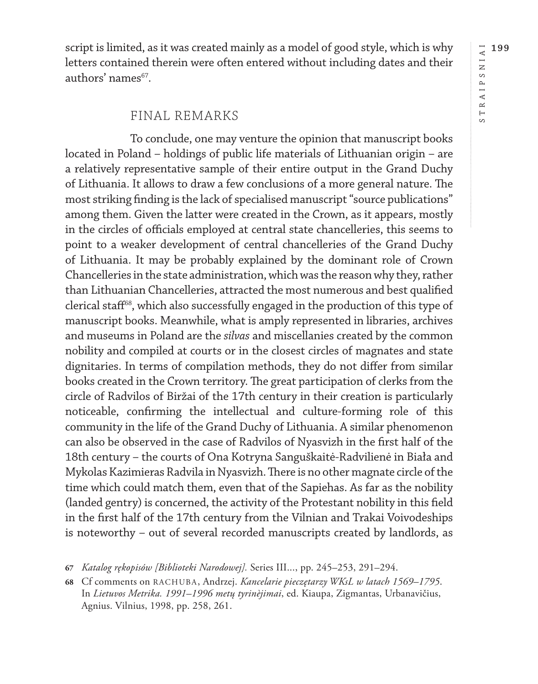RAIPSNIAI **199** STRAIPSNIAI  $\overline{\phantom{a}}$  $\circ$ 

script is limited, as it was created mainly as a model of good style, which is why letters contained therein were often entered without including dates and their authors' names<sup>67</sup>.

### FINAL REMARKS

To conclude, one may venture the opinion that manuscript books located in Poland – holdings of public life materials of Lithuanian origin – are a relatively representative sample of their entire output in the Grand Duchy of Lithuania. It allows to draw a few conclusions of a more general nature. The most striking finding is the lack of specialised manuscript "source publications" among them. Given the latter were created in the Crown, as it appears, mostly in the circles of officials employed at central state chancelleries, this seems to point to a weaker development of central chancelleries of the Grand Duchy of Lithuania. It may be probably explained by the dominant role of Crown Chancelleries in the state administration, which was the reason why they, rather than Lithuanian Chancelleries, attracted the most numerous and best qualified clerical staff<sup>68</sup>, which also successfully engaged in the production of this type of manuscript books. Meanwhile, what is amply represented in libraries, archives and museums in Poland are the *silvas* and miscellanies created by the common nobility and compiled at courts or in the closest circles of magnates and state dignitaries. In terms of compilation methods, they do not differ from similar books created in the Crown territory. The great participation of clerks from the circle of Radvilos of Biržai of the 17th century in their creation is particularly noticeable, confirming the intellectual and culture-forming role of this community in the life of the Grand Duchy of Lithuania. A similar phenomenon can also be observed in the case of Radvilos of Nyasvizh in the first half of the 18th century – the courts of Ona Kotryna Sanguškaitė-Radvilienė in Biała and Mykolas Kazimieras Radvila in Nyasvizh. There is no other magnate circle of the time which could match them, even that of the Sapiehas. As far as the nobility (landed gentry) is concerned, the activity of the Protestant nobility in this field in the first half of the 17th century from the Vilnian and Trakai Voivodeships is noteworthy – out of several recorded manuscripts created by landlords, as

**<sup>67</sup>** *Katalog rękopisów [Biblioteki Narodowej].* Series III..., pp. 245–253, 291–294.

**<sup>68</sup>** Cf comments on RACHUBA, Andrzej. *Kancelarie pieczętarzy WKsL w latach 1569–1795*. In *Lietuvos Metrika. 1991–1996 metų tyrinèjimai*, ed. Kiaupa, Zigmantas, Urbanavičius, Agnius. Vilnius, 1998, pp. 258, 261.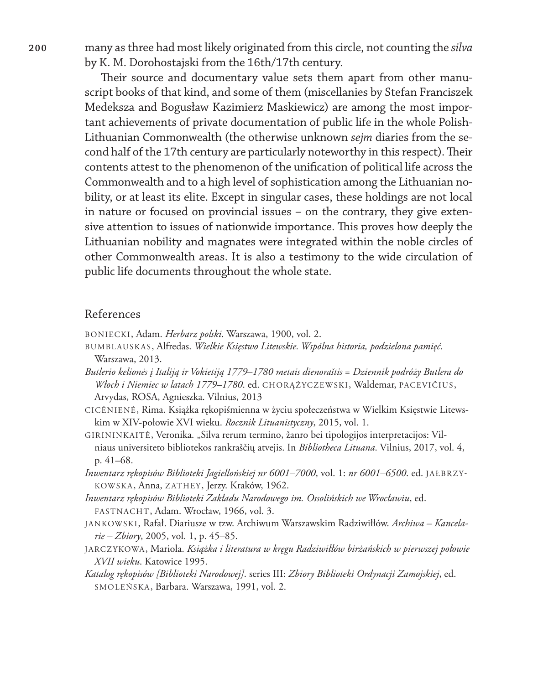**200** many as three had most likely originated from this circle, not counting the *silva* by K. M. Dorohostajski from the 16th/17th century.

> Their source and documentary value sets them apart from other manuscript books of that kind, and some of them (miscellanies by Stefan Franciszek Medeksza and Bogusław Kazimierz Maskiewicz) are among the most important achievements of private documentation of public life in the whole Polish-Lithuanian Commonwealth (the otherwise unknown *sejm* diaries from the second half of the 17th century are particularly noteworthy in this respect). Their contents attest to the phenomenon of the unification of political life across the Commonwealth and to a high level of sophistication among the Lithuanian nobility, or at least its elite. Except in singular cases, these holdings are not local in nature or focused on provincial issues – on the contrary, they give extensive attention to issues of nationwide importance. This proves how deeply the Lithuanian nobility and magnates were integrated within the noble circles of other Commonwealth areas. It is also a testimony to the wide circulation of public life documents throughout the whole state.

#### References

BONIECKI, Adam. *Herbarz polski*. Warszawa, 1900, vol. 2.

BUMBLAUSKAS, Alfredas. *Wielkie Księstwo Litewskie. Wspólna historia, podzielona pamięć*. Warszawa, 2013.

*Butlerio kelionės į Italiją ir Vokietiją 1779–1780 metais dienoraštis* = *Dziennik podróży Butlera do Włoch i Niemiec w latach 1779–1780*. ed. CHORĄŻYCZEWSKI, Waldemar, PACEVIČIUS, Arvydas, ROSA, Agnieszka. Vilnius, 2013

- CICĖNIENĖ, Rima. Książka rękopiśmienna w życiu społeczeństwa w Wielkim Księstwie Litewskim w XIV-połowie XVI wieku. *Rocznik Lituanistyczny*, 2015, vol. 1.
- GIRININKAITĖ, Veronika. "Silva rerum termino, žanro bei tipologijos interpretacijos: Vilniaus universiteto bibliotekos rankraščių atvejis. In *Bibliotheca Lituana*. Vilnius, 2017, vol. 4, p. 41–68.
- *Inwentarz rękopisów Biblioteki Jagiellońskiej nr 6001–7000*, vol. 1: *nr 6001–6500*. ed. JAŁBRZY-KOWSKA, Anna, ZATHEY, Jerzy. Kraków, 1962.
- *Inwentarz rękopisów Biblioteki Zakładu Narodowego im. Ossolińskich we Wrocławiu*, ed. FASTNACHT, Adam. Wrocław, 1966, vol. 3.
- JANKOWSKI, Rafał. Diariusze w tzw. Archiwum Warszawskim Radziwiłłów. *Archiwa Kancelarie – Zbiory*, 2005, vol. 1, p. 45–85.
- JARCZYKOWA, Mariola. *Książka i literatura w kręgu Radziwiłłów birżańskich w pierwszej połowie XVII wieku*. Katowice 1995.
- *Katalog rękopisów [Biblioteki Narodowej]*. series III: *Zbiory Biblioteki Ordynacji Zamojskiej*, ed. SMOLEŃSKA, Barbara. Warszawa, 1991, vol. 2.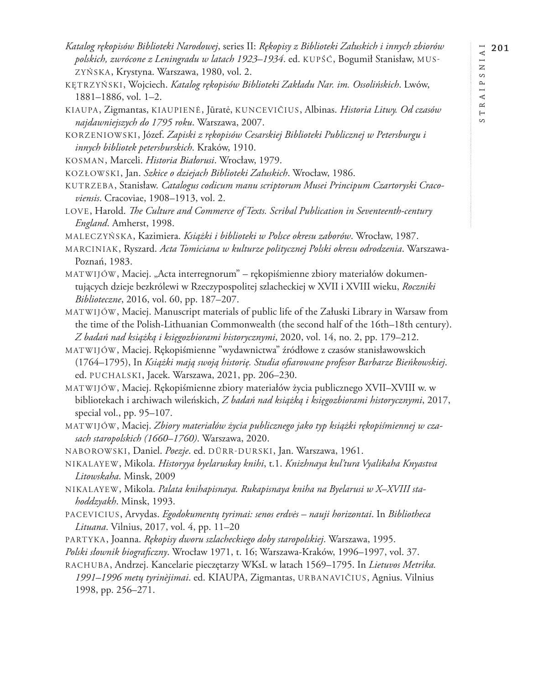$\circ$ 

- *Katalog rękopisów Biblioteki Narodowej*, series II: *Rękopisy z Biblioteki Załuskich i innych zbiorów polskich, zwrócone z Leningradu w latach 1923–1934*. ed. KUPŚĆ, Bogumił Stanisław, MUS-ZYŃSKA, Krystyna. Warszawa, 1980, vol. 2.
- KĘTRZYŃSKI, Wojciech. *Katalog rękopisów Biblioteki Zakładu Nar. im. Ossolińskich*. Lwów, 1881–1886, vol. 1–2.
- KIAUPA, Zigmantas, KIAUPIENĖ, Jūratė, KUNCEVIČIUS, Albinas. *Historia Litwy. Od czasów najdawniejszych do 1795 roku*. Warszawa, 2007.
- KORZENIOWSKI, Józef. *Zapiski z rękopisów Cesarskiej Biblioteki Publicznej w Petersburgu i innych bibliotek petersburskich*. Kraków, 1910.
- KOSMAN, Marceli. *Historia Białorusi*. Wrocław, 1979.
- KOZŁOWSKI, Jan. *Szkice o dziejach Biblioteki Załuskich*. Wrocław, 1986.
- KUTRZEBA, Stanisław. *Catalogus codicum manu scriptorum Musei Principum Czartoryski Cracoviensis*. Cracoviae, 1908–1913, vol. 2.
- LOVE, Harold. *The Culture and Commerce of Texts. Scribal Publication in Seventeenth-century England*. Amherst, 1998.
- MALECZYŃSKA, Kazimiera. *Książki i biblioteki w Polsce okresu zaborów*. Wrocław, 1987.
- MARCINIAK, Ryszard. *Acta Tomiciana w kulturze politycznej Polski okresu odrodzenia*. Warszawa-Poznań, 1983.
- MATWIJÓW, Maciej. "Acta interregnorum" rękopiśmienne zbiory materiałów dokumentujących dzieje bezkrólewi w Rzeczypospolitej szlacheckiej w XVII i XVIII wieku, *Roczniki Biblioteczne*, 2016, vol. 60, pp. 187–207.
- MATWIJÓW, Maciej. Manuscript materials of public life of the Załuski Library in Warsaw from the time of the Polish-Lithuanian Commonwealth (the second half of the 16th–18th century). *Z badań nad książką i księgozbiorami historycznymi*, 2020, vol. 14, no. 2, pp. 179–212.
- MATWIJÓW, Maciej. Rękopiśmienne "wydawnictwa" źródłowe z czasów stanisławowskich (1764–1795), In *Książki mają swoją historię. Studia ofiarowane profesor Barbarze Bieńkowskiej*. ed. PUCHALSKI, Jacek. Warszawa, 2021, pp. 206–230.
- MATWIJÓW, Maciej. Rękopiśmienne zbiory materiałów życia publicznego XVII–XVIII w. w bibliotekach i archiwach wileńskich, *Z badań nad książką i księgozbiorami historycznymi*, 2017, special vol., pp. 95–107.

MATWIJÓW, Maciej. *Zbiory materiałów życia publicznego jako typ książki rękopiśmiennej w czasach staropolskich (1660–1760)*. Warszawa, 2020.

- NABOROWSKI, Daniel. *Poezje*. ed. DÜRR-DURSKI, Jan. Warszawa, 1961.
- NIKALAYEW, Mikola. *Historyya byelaruskay knihi*, t.1. *Knizhnaya kul'tura Vyalikaha Knyastva Litowskaha*. Minsk, 2009
- NIKALAYEW, Mikola. *Palata knihapisnaya. Rukapisnaya kniha na Byelarusi w X–XVIII stahoddzyakh*. Minsk, 1993.
- PACEVICIUS, Arvydas. *Egodokumentų tyrimai: senos erdvės nauji horizontai*. In *Bibliotheca Lituana*. Vilnius, 2017, vol. 4, pp. 11–20
- PARTYKA, Joanna. *Rękopisy dworu szlacheckiego doby staropolskiej*. Warszawa, 1995.
- *Polski słownik biograficzny*. Wrocław 1971, t. 16; Warszawa-Kraków, 1996–1997, vol. 37.
- RACHUBA, Andrzej. Kancelarie pieczętarzy WKsL w latach 1569–1795. In *Lietuvos Metrika. 1991–1996 metų tyrinèjimai*. ed. KIAUPA, Zigmantas, URBANAVIČIUS, Agnius. Vilnius 1998, pp. 256–271.